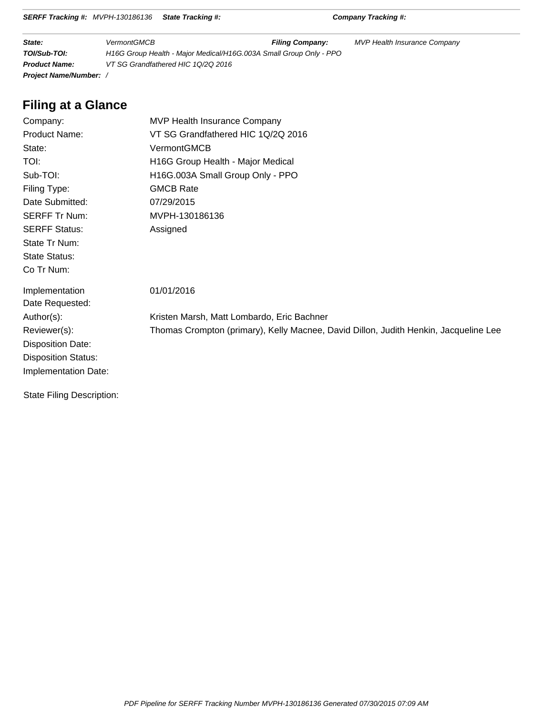|  | SERFF Tracking #: MVPH-130186136 State Tracking #: |  |
|--|----------------------------------------------------|--|
|--|----------------------------------------------------|--|

**SERFF Tracking #:** Company Tracking #:

| State:                      | <b>VermontGMCB</b>                                                 | <b>Filing Company:</b> | MVP Health Insurance Company |
|-----------------------------|--------------------------------------------------------------------|------------------------|------------------------------|
| TOI/Sub-TOI:                | H16G Group Health - Major Medical/H16G.003A Small Group Only - PPO |                        |                              |
| <b>Product Name:</b>        | VT SG Grandfathered HIC 10/20 2016                                 |                        |                              |
| <b>Project Name/Number:</b> |                                                                    |                        |                              |

# **Filing at a Glance**

| Company:                         | MVP Health Insurance Company                                                         |
|----------------------------------|--------------------------------------------------------------------------------------|
| Product Name:                    | VT SG Grandfathered HIC 1Q/2Q 2016                                                   |
| State:                           | VermontGMCB                                                                          |
| TOI:                             | H16G Group Health - Major Medical                                                    |
| Sub-TOI:                         | H16G.003A Small Group Only - PPO                                                     |
| Filing Type:                     | <b>GMCB Rate</b>                                                                     |
| Date Submitted:                  | 07/29/2015                                                                           |
| <b>SERFF Tr Num:</b>             | MVPH-130186136                                                                       |
| <b>SERFF Status:</b>             | Assigned                                                                             |
| State Tr Num:                    |                                                                                      |
| <b>State Status:</b>             |                                                                                      |
| Co Tr Num:                       |                                                                                      |
| Implementation                   | 01/01/2016                                                                           |
| Date Requested:                  |                                                                                      |
| Author(s):                       | Kristen Marsh, Matt Lombardo, Eric Bachner                                           |
| Reviewer(s):                     | Thomas Crompton (primary), Kelly Macnee, David Dillon, Judith Henkin, Jacqueline Lee |
| <b>Disposition Date:</b>         |                                                                                      |
| <b>Disposition Status:</b>       |                                                                                      |
| Implementation Date:             |                                                                                      |
| <b>State Filing Description:</b> |                                                                                      |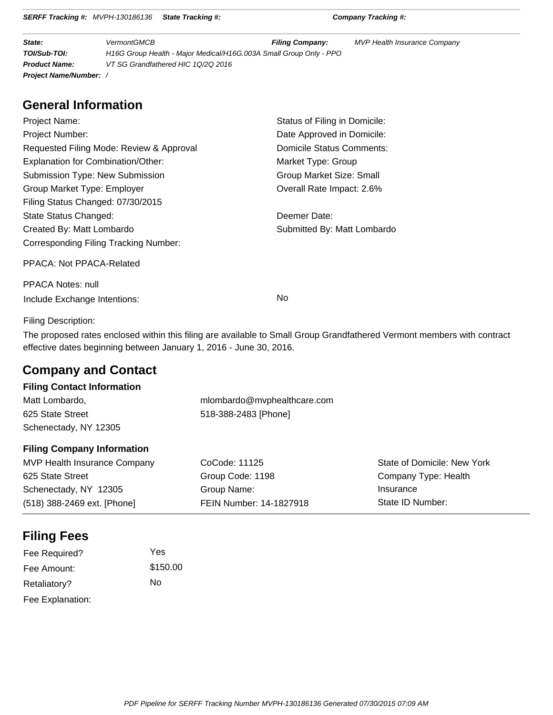|  | <b>SERFF Tracking #:</b> MVPH-130186136 State Tracking #: |  |
|--|-----------------------------------------------------------|--|
|--|-----------------------------------------------------------|--|

**SERFF Tracking #:** Company Tracking #:

| State:                      | <b>VermontGMCB</b>                                                 | <b>Filing Company:</b> | MVP Health Insurance Company |
|-----------------------------|--------------------------------------------------------------------|------------------------|------------------------------|
| TOI/Sub-TOI:                | H16G Group Health - Major Medical/H16G.003A Small Group Only - PPO |                        |                              |
| <b>Product Name:</b>        | VT SG Grandfathered HIC 10/20 2016                                 |                        |                              |
| <b>Project Name/Number:</b> |                                                                    |                        |                              |

# **General Information**

| Project Name:                            | Status of Filing in Domicile:   |
|------------------------------------------|---------------------------------|
| <b>Project Number:</b>                   | Date Approved in Domicile:      |
| Requested Filing Mode: Review & Approval | Domicile Status Comments:       |
| Explanation for Combination/Other:       | Market Type: Group              |
| Submission Type: New Submission          | <b>Group Market Size: Small</b> |
| Group Market Type: Employer              | Overall Rate Impact: 2.6%       |
| Filing Status Changed: 07/30/2015        |                                 |
| State Status Changed:                    | Deemer Date:                    |
| Created By: Matt Lombardo                | Submitted By: Matt Lombardo     |
| Corresponding Filing Tracking Number:    |                                 |
| PPACA: Not PPACA-Related                 |                                 |
| <b>PPACA Notes: null</b>                 |                                 |
| Include Exchange Intentions:             | No                              |

Filing Description:

The proposed rates enclosed within this filing are available to Small Group Grandfathered Vermont members with contract effective dates beginning between January 1, 2016 - June 30, 2016.

# **Company and Contact**

## **Filing Contact Information**

| Matt Lombardo,        | mlombardo@mvphealthcare.com |
|-----------------------|-----------------------------|
| 625 State Street      | 518-388-2483 [Phone]        |
| Schenectady, NY 12305 |                             |

### **Filing Company Information**

| MVP Health Insurance Company | CoCode: 11125           | State of Domicile: New York |
|------------------------------|-------------------------|-----------------------------|
| 625 State Street             | Group Code: 1198        | Company Type: Health        |
| Schenectady, NY 12305        | Group Name:             | Insurance                   |
| (518) 388-2469 ext. [Phone]  | FEIN Number: 14-1827918 | State ID Number:            |

# **Filing Fees**

| Fee Required?    | Yes      |
|------------------|----------|
| Fee Amount:      | \$150.00 |
| Retaliatory?     | Nο       |
| Fee Explanation: |          |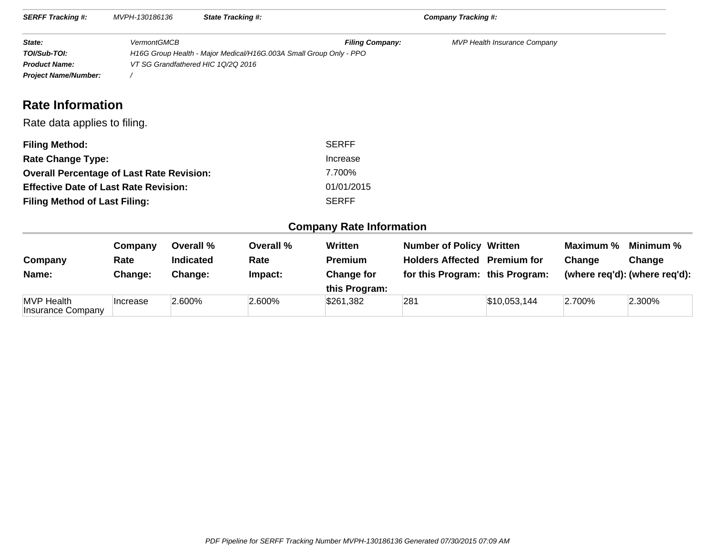| <b>SERFF Tracking #:</b>                                                      | MVPH-130186136     |                  | <b>State Tracking #:</b>           |                                                                                              | Company Tracking #:                 |                                     |           |                               |
|-------------------------------------------------------------------------------|--------------------|------------------|------------------------------------|----------------------------------------------------------------------------------------------|-------------------------------------|-------------------------------------|-----------|-------------------------------|
| State:<br>TOI/Sub-TOI:<br><b>Product Name:</b><br><b>Project Name/Number:</b> | <b>VermontGMCB</b> |                  | VT SG Grandfathered HIC 1Q/2Q 2016 | <b>Filing Company:</b><br>H16G Group Health - Major Medical/H16G.003A Small Group Only - PPO |                                     | <b>MVP Health Insurance Company</b> |           |                               |
| <b>Rate Information</b>                                                       |                    |                  |                                    |                                                                                              |                                     |                                     |           |                               |
| Rate data applies to filing.                                                  |                    |                  |                                    |                                                                                              |                                     |                                     |           |                               |
| <b>Filing Method:</b>                                                         |                    |                  |                                    | <b>SERFF</b>                                                                                 |                                     |                                     |           |                               |
| <b>Rate Change Type:</b>                                                      |                    |                  |                                    | Increase                                                                                     |                                     |                                     |           |                               |
| <b>Overall Percentage of Last Rate Revision:</b>                              |                    |                  |                                    | 7.700%                                                                                       |                                     |                                     |           |                               |
| <b>Effective Date of Last Rate Revision:</b>                                  |                    |                  |                                    | 01/01/2015                                                                                   |                                     |                                     |           |                               |
| <b>Filing Method of Last Filing:</b>                                          |                    |                  |                                    | <b>SERFF</b>                                                                                 |                                     |                                     |           |                               |
|                                                                               |                    |                  |                                    | <b>Company Rate Information</b>                                                              |                                     |                                     |           |                               |
|                                                                               | Company            | Overall %        | Overall %                          | Written                                                                                      | <b>Number of Policy Written</b>     |                                     | Maximum % | Minimum %                     |
| Company                                                                       | Rate               | <b>Indicated</b> | Rate                               | <b>Premium</b>                                                                               | <b>Holders Affected Premium for</b> |                                     | Change    | Change                        |
| Name:                                                                         | Change:            | Change:          | Impact:                            | <b>Change for</b><br>this Program:                                                           | for this Program: this Program:     |                                     |           | (where req'd): (where req'd): |
| <b>MVP</b> Health<br>Insurance Company                                        | Increase           | 2.600%           | 2.600%                             | \$261,382                                                                                    | 281                                 | \$10,053,144                        | 2.700%    | 2.300%                        |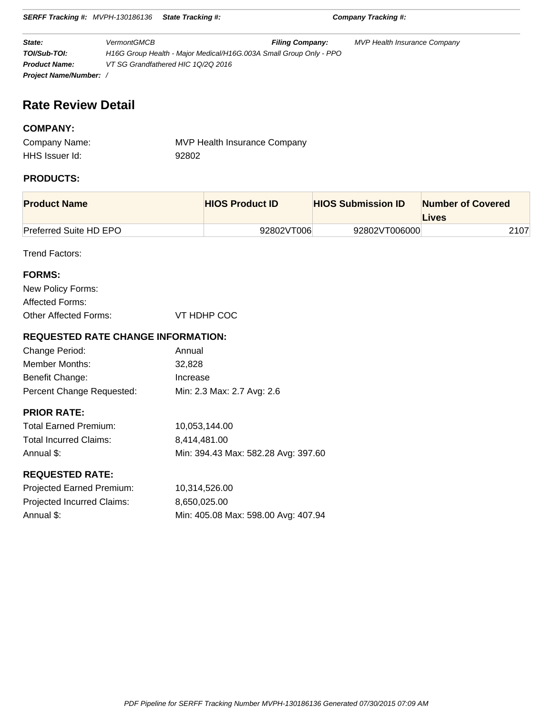**SERFF Tracking #:** MVPH-130186136 **State Tracking #: Company Tracking #:**

**State:** VermontGMCB **Filing Company:** MVP Health Insurance Company **TOI/Sub-TOI:** H16G Group Health - Major Medical/H16G.003A Small Group Only - PPO **Product Name:** VT SG Grandfathered HIC 1Q/2Q 2016 **Project Name/Number:** /

# **Rate Review Detail**

### **COMPANY:**

| Company Name:  | MVP Health Insurance Company |
|----------------|------------------------------|
| HHS Issuer Id: | 92802                        |

## **PRODUCTS:**

| <b>Product Name</b>           | <b>HIOS Product ID</b> | <b>HIOS Submission ID</b> | <b>Number of Covered</b><br>Lives |
|-------------------------------|------------------------|---------------------------|-----------------------------------|
| <b>Preferred Suite HD EPO</b> | 92802VT006             | 92802VT006000             | 2107                              |

Trend Factors:

| <b>FORMS:</b>         |             |
|-----------------------|-------------|
| New Policy Forms:     |             |
| Affected Forms:       |             |
| Other Affected Forms: | VT HDHP COC |

### **REQUESTED RATE CHANGE INFORMATION:**

| Change Period:            | Annual                     |
|---------------------------|----------------------------|
| Member Months:            | 32.828                     |
| Benefit Change:           | Increase                   |
| Percent Change Requested: | Min: 2.3 Max: 2.7 Avg: 2.6 |

## **PRIOR RATE:**

| <b>Total Earned Premium:</b> | 10.053.144.00                       |
|------------------------------|-------------------------------------|
| Total Incurred Claims:       | 8.414.481.00                        |
| Annual \$:                   | Min: 394.43 Max: 582.28 Avg: 397.60 |

### **REQUESTED RATE:**

| <b>Projected Earned Premium:</b> | 10.314.526.00                       |
|----------------------------------|-------------------------------------|
| Projected Incurred Claims:       | 8.650.025.00                        |
| Annual \$:                       | Min: 405.08 Max: 598.00 Avg: 407.94 |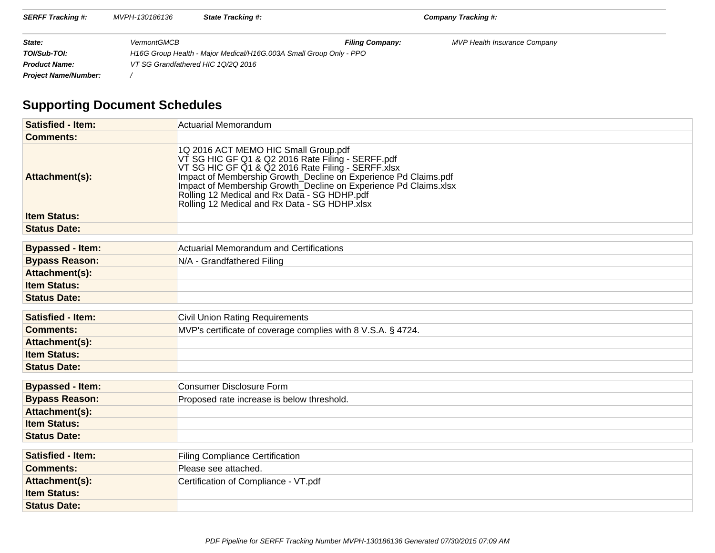| <b>SERFF Tracking #:</b>    | MVPH-130186136     | <b>State Tracking #:</b>                                           |                        | <b>Company Tracking #:</b>          |  |
|-----------------------------|--------------------|--------------------------------------------------------------------|------------------------|-------------------------------------|--|
| State:                      | <b>VermontGMCB</b> |                                                                    | <b>Filing Company:</b> | <b>MVP Health Insurance Company</b> |  |
| TOI/Sub-TOI:                |                    | H16G Group Health - Major Medical/H16G.003A Small Group Only - PPO |                        |                                     |  |
| <b>Product Name:</b>        |                    | VT SG Grandfathered HIC 10/20 2016                                 |                        |                                     |  |
| <b>Project Name/Number:</b> |                    |                                                                    |                        |                                     |  |

# **Supporting Document Schedules**

| <b>Satisfied - Item:</b> | Actuarial Memorandum                                                                                                                                                                                                                                                                                                                                                                    |
|--------------------------|-----------------------------------------------------------------------------------------------------------------------------------------------------------------------------------------------------------------------------------------------------------------------------------------------------------------------------------------------------------------------------------------|
| <b>Comments:</b>         |                                                                                                                                                                                                                                                                                                                                                                                         |
| Attachment(s):           | 1Q 2016 ACT MEMO HIC Small Group.pdf<br>VT SG HIC GF Q1 & Q2 2016 Rate Filing - SERFF.pdf<br>VT SG HIC GF Q1 & Q2 2016 Rate Filing - SERFF.xlsx<br>Impact of Membership Growth_Decline on Experience Pd Claims.pdf<br>Impact of Membership Growth_Decline on Experience Pd Claims.xlsx<br>Rolling 12 Medical and Rx Data - SG HDHP.pdf<br>Rolling 12 Medical and Rx Data - SG HDHP.xlsx |
| <b>Item Status:</b>      |                                                                                                                                                                                                                                                                                                                                                                                         |
| <b>Status Date:</b>      |                                                                                                                                                                                                                                                                                                                                                                                         |
| <b>Bypassed - Item:</b>  | Actuarial Memorandum and Certifications                                                                                                                                                                                                                                                                                                                                                 |
| <b>Bypass Reason:</b>    | N/A - Grandfathered Filing                                                                                                                                                                                                                                                                                                                                                              |
| Attachment(s):           |                                                                                                                                                                                                                                                                                                                                                                                         |
| <b>Item Status:</b>      |                                                                                                                                                                                                                                                                                                                                                                                         |
| <b>Status Date:</b>      |                                                                                                                                                                                                                                                                                                                                                                                         |
| <b>Satisfied - Item:</b> | <b>Civil Union Rating Requirements</b>                                                                                                                                                                                                                                                                                                                                                  |
| <b>Comments:</b>         | MVP's certificate of coverage complies with 8 V.S.A. § 4724.                                                                                                                                                                                                                                                                                                                            |
| Attachment(s):           |                                                                                                                                                                                                                                                                                                                                                                                         |
| <b>Item Status:</b>      |                                                                                                                                                                                                                                                                                                                                                                                         |
| <b>Status Date:</b>      |                                                                                                                                                                                                                                                                                                                                                                                         |
| <b>Bypassed - Item:</b>  | Consumer Disclosure Form                                                                                                                                                                                                                                                                                                                                                                |
| <b>Bypass Reason:</b>    | Proposed rate increase is below threshold.                                                                                                                                                                                                                                                                                                                                              |
| Attachment(s):           |                                                                                                                                                                                                                                                                                                                                                                                         |
| <b>Item Status:</b>      |                                                                                                                                                                                                                                                                                                                                                                                         |
| <b>Status Date:</b>      |                                                                                                                                                                                                                                                                                                                                                                                         |
| <b>Satisfied - Item:</b> | <b>Filing Compliance Certification</b>                                                                                                                                                                                                                                                                                                                                                  |
| <b>Comments:</b>         | Please see attached.                                                                                                                                                                                                                                                                                                                                                                    |
| Attachment(s):           | Certification of Compliance - VT.pdf                                                                                                                                                                                                                                                                                                                                                    |
| <b>Item Status:</b>      |                                                                                                                                                                                                                                                                                                                                                                                         |
| <b>Status Date:</b>      |                                                                                                                                                                                                                                                                                                                                                                                         |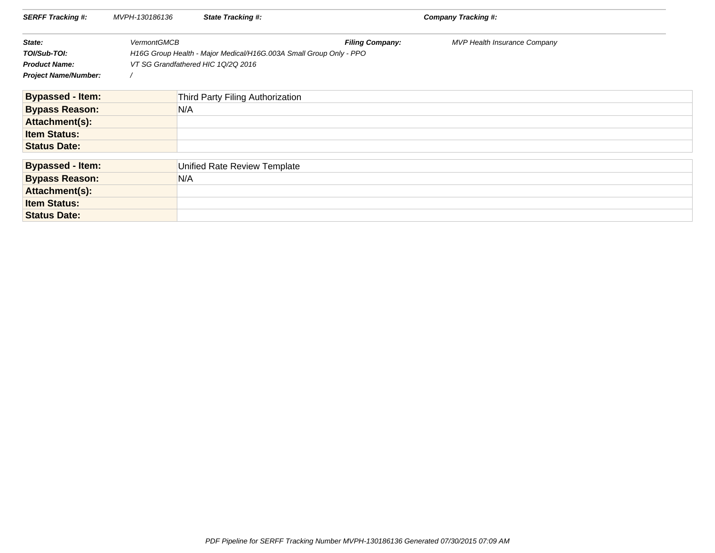| <b>SERFF Tracking #:</b>    | MVPH-130186136     | <b>State Tracking #:</b>                                           | Company Tracking #:    |                                     |  |
|-----------------------------|--------------------|--------------------------------------------------------------------|------------------------|-------------------------------------|--|
| State:                      | <b>VermontGMCB</b> |                                                                    | <b>Filing Company:</b> | <b>MVP Health Insurance Company</b> |  |
| TOI/Sub-TOI:                |                    | H16G Group Health - Major Medical/H16G.003A Small Group Only - PPO |                        |                                     |  |
| <b>Product Name:</b>        |                    | VT SG Grandfathered HIC 1Q/2Q 2016                                 |                        |                                     |  |
| <b>Project Name/Number:</b> |                    |                                                                    |                        |                                     |  |
| <b>Bypassed - Item:</b>     |                    | Third Party Filing Authorization                                   |                        |                                     |  |
| <b>Bypass Reason:</b>       |                    | N/A                                                                |                        |                                     |  |
| Attachment(s):              |                    |                                                                    |                        |                                     |  |
| <b>Item Status:</b>         |                    |                                                                    |                        |                                     |  |
| <b>Status Date:</b>         |                    |                                                                    |                        |                                     |  |
| <b>Bypassed - Item:</b>     |                    | Unified Rate Review Template                                       |                        |                                     |  |
| <b>Bypass Reason:</b>       |                    | N/A                                                                |                        |                                     |  |
| Attachment(s):              |                    |                                                                    |                        |                                     |  |
| <b>Item Status:</b>         |                    |                                                                    |                        |                                     |  |
| <b>Status Date:</b>         |                    |                                                                    |                        |                                     |  |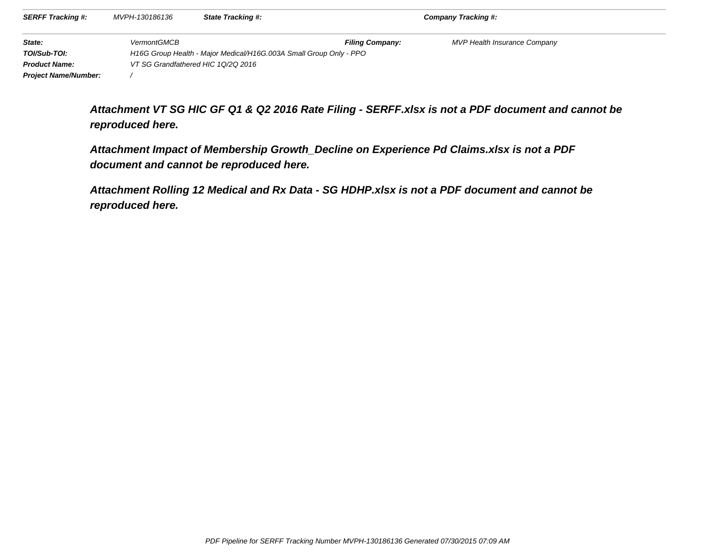| <b>SERFF Tracking #:</b>    | MVPH-130186136     | <b>State Tracking #:</b>                                           |                        | Company Tracking #:                 |  |
|-----------------------------|--------------------|--------------------------------------------------------------------|------------------------|-------------------------------------|--|
| State:                      | <b>VermontGMCB</b> |                                                                    | <b>Filing Company:</b> | <b>MVP Health Insurance Company</b> |  |
| TOI/Sub-TOI:                |                    | H16G Group Health - Major Medical/H16G.003A Small Group Only - PPO |                        |                                     |  |
| <b>Product Name:</b>        |                    | VT SG Grandfathered HIC 10/20 2016                                 |                        |                                     |  |
| <b>Project Name/Number:</b> |                    |                                                                    |                        |                                     |  |

**Attachment VT SG HIC GF Q1 & Q2 2016 Rate Filing - SERFF.xlsx is not a PDF document and cannot bereproduced here.**

**Attachment Impact of Membership Growth\_Decline on Experience Pd Claims.xlsx is not a PDFdocument and cannot be reproduced here.**

**Attachment Rolling 12 Medical and Rx Data - SG HDHP.xlsx is not a PDF document and cannot bereproduced here.**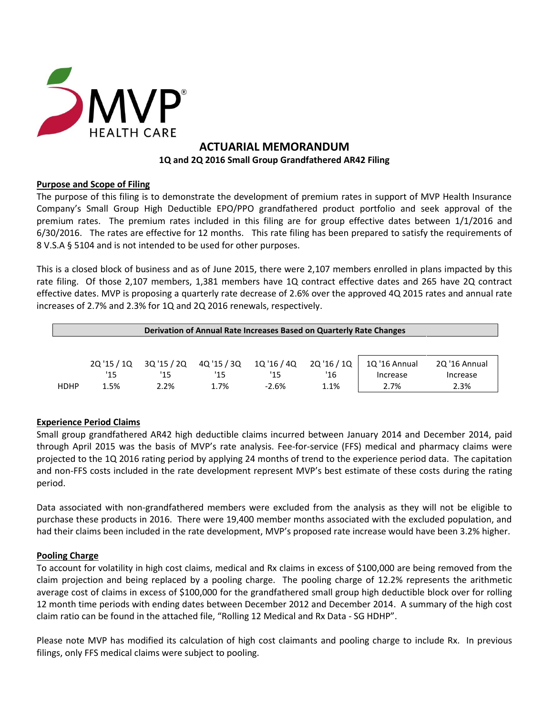

## **ACTUARIAL MEMORANDUM 1Q and 2Q 2016 Small Group Grandfathered AR42 Filing**

## **Purpose and Scope of Filing**

The purpose of this filing is to demonstrate the development of premium rates in support of MVP Health Insurance Company's Small Group High Deductible EPO/PPO grandfathered product portfolio and seek approval of the premium rates. The premium rates included in this filing are for group effective dates between 1/1/2016 and 6/30/2016. The rates are effective for 12 months. This rate filing has been prepared to satisfy the requirements of 8 V.S.A § 5104 and is not intended to be used for other purposes.

This is a closed block of business and as of June 2015, there were 2,107 members enrolled in plans impacted by this rate filing. Of those 2,107 members, 1,381 members have 1Q contract effective dates and 265 have 2Q contract effective dates. MVP is proposing a quarterly rate decrease of 2.6% over the approved 4Q 2015 rates and annual rate increases of 2.7% and 2.3% for 1Q and 2Q 2016 renewals, respectively.

| Derivation of Annual Rate Increases Based on Quarterly Rate Changes |             |             |             |             |             |               |               |
|---------------------------------------------------------------------|-------------|-------------|-------------|-------------|-------------|---------------|---------------|
|                                                                     | 20 '15 / 10 | 3Q '15 / 2Q | 4Q '15 / 3Q | 1Q '16 / 4Q | 2Q '16 / 1Q | 1Q '16 Annual | 2Q '16 Annual |
|                                                                     | '15         | '15         | '15         | '15         | '16         | Increase      | Increase      |
| <b>HDHP</b>                                                         | 1.5%        | 2.2%        | 1.7%        | $-2.6%$     | 1.1%        | 2.7%          | 2.3%          |

## **Experience Period Claims**

Small group grandfathered AR42 high deductible claims incurred between January 2014 and December 2014, paid through April 2015 was the basis of MVP's rate analysis. Fee-for-service (FFS) medical and pharmacy claims were projected to the 1Q 2016 rating period by applying 24 months of trend to the experience period data. The capitation and non-FFS costs included in the rate development represent MVP's best estimate of these costs during the rating period.

Data associated with non-grandfathered members were excluded from the analysis as they will not be eligible to purchase these products in 2016. There were 19,400 member months associated with the excluded population, and had their claims been included in the rate development, MVP's proposed rate increase would have been 3.2% higher.

### **Pooling Charge**

To account for volatility in high cost claims, medical and Rx claims in excess of \$100,000 are being removed from the claim projection and being replaced by a pooling charge. The pooling charge of 12.2% represents the arithmetic average cost of claims in excess of \$100,000 for the grandfathered small group high deductible block over for rolling 12 month time periods with ending dates between December 2012 and December 2014. A summary of the high cost claim ratio can be found in the attached file, "Rolling 12 Medical and Rx Data - SG HDHP".

Please note MVP has modified its calculation of high cost claimants and pooling charge to include Rx. In previous filings, only FFS medical claims were subject to pooling.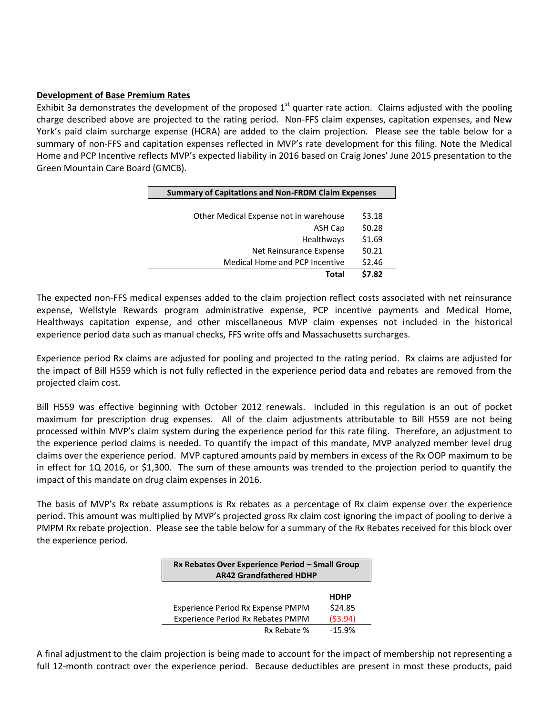#### **Development of Base Premium Rates**

Exhibit 3a demonstrates the development of the proposed  $1<sup>st</sup>$  quarter rate action. Claims adjusted with the pooling charge described above are projected to the rating period. Non-FFS claim expenses, capitation expenses, and New York's paid claim surcharge expense (HCRA) are added to the claim projection. Please see the table below for a summary of non-FFS and capitation expenses reflected in MVP's rate development for this filing. Note the Medical Home and PCP Incentive reflects MVP's expected liability in 2016 based on Craig Jones' June 2015 presentation to the Green Mountain Care Board (GMCB).

|                                        | <b>Summary of Capitations and Non-FRDM Claim Expenses</b> |  |  |
|----------------------------------------|-----------------------------------------------------------|--|--|
|                                        |                                                           |  |  |
| Other Medical Expense not in warehouse | \$3.18                                                    |  |  |
| ASH Cap                                | \$0.28                                                    |  |  |
| Healthways                             | \$1.69                                                    |  |  |
| Net Reinsurance Expense                | \$0.21                                                    |  |  |
| Medical Home and PCP Incentive         | \$2.46                                                    |  |  |
| Total                                  | \$7.82                                                    |  |  |

The expected non-FFS medical expenses added to the claim projection reflect costs associated with net reinsurance expense, Wellstyle Rewards program administrative expense, PCP incentive payments and Medical Home, Healthways capitation expense, and other miscellaneous MVP claim expenses not included in the historical experience period data such as manual checks, FFS write offs and Massachusetts surcharges.

Experience period Rx claims are adjusted for pooling and projected to the rating period. Rx claims are adjusted for the impact of Bill H559 which is not fully reflected in the experience period data and rebates are removed from the projected claim cost.

Bill H559 was effective beginning with October 2012 renewals. Included in this regulation is an out of pocket maximum for prescription drug expenses. All of the claim adjustments attributable to Bill H559 are not being processed within MVP's claim system during the experience period for this rate filing. Therefore, an adjustment to the experience period claims is needed. To quantify the impact of this mandate, MVP analyzed member level drug claims over the experience period. MVP captured amounts paid by members in excess of the Rx OOP maximum to be in effect for 1Q 2016, or \$1,300. The sum of these amounts was trended to the projection period to quantify the impact of this mandate on drug claim expenses in 2016.

The basis of MVP's Rx rebate assumptions is Rx rebates as a percentage of Rx claim expense over the experience period. This amount was multiplied by MVP's projected gross Rx claim cost ignoring the impact of pooling to derive a PMPM Rx rebate projection. Please see the table below for a summary of the Rx Rebates received for this block over the experience period.

| Rx Rebates Over Experience Period - Small Group<br><b>AR42 Grandfathered HDHP</b> |          |  |  |
|-----------------------------------------------------------------------------------|----------|--|--|
| <b>HDHP</b>                                                                       |          |  |  |
| Experience Period Rx Expense PMPM                                                 | \$24.85  |  |  |
| <b>Experience Period Rx Rebates PMPM</b>                                          | (53.94)  |  |  |
| Rx Rebate %                                                                       | $-15.9%$ |  |  |

A final adjustment to the claim projection is being made to account for the impact of membership not representing a full 12-month contract over the experience period. Because deductibles are present in most these products, paid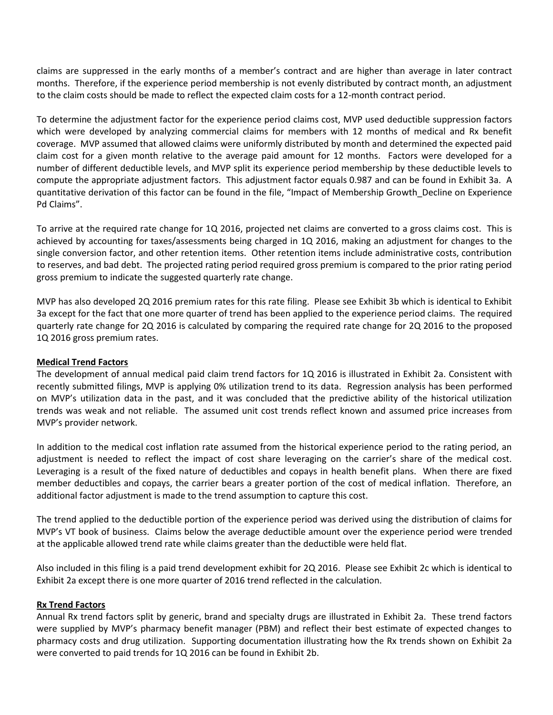claims are suppressed in the early months of a member's contract and are higher than average in later contract months. Therefore, if the experience period membership is not evenly distributed by contract month, an adjustment to the claim costs should be made to reflect the expected claim costs for a 12-month contract period.

To determine the adjustment factor for the experience period claims cost, MVP used deductible suppression factors which were developed by analyzing commercial claims for members with 12 months of medical and Rx benefit coverage. MVP assumed that allowed claims were uniformly distributed by month and determined the expected paid claim cost for a given month relative to the average paid amount for 12 months. Factors were developed for a number of different deductible levels, and MVP split its experience period membership by these deductible levels to compute the appropriate adjustment factors. This adjustment factor equals 0.987 and can be found in Exhibit 3a. A quantitative derivation of this factor can be found in the file, "Impact of Membership Growth\_Decline on Experience Pd Claims".

To arrive at the required rate change for 1Q 2016, projected net claims are converted to a gross claims cost. This is achieved by accounting for taxes/assessments being charged in 1Q 2016, making an adjustment for changes to the single conversion factor, and other retention items. Other retention items include administrative costs, contribution to reserves, and bad debt. The projected rating period required gross premium is compared to the prior rating period gross premium to indicate the suggested quarterly rate change.

MVP has also developed 2Q 2016 premium rates for this rate filing. Please see Exhibit 3b which is identical to Exhibit 3a except for the fact that one more quarter of trend has been applied to the experience period claims. The required quarterly rate change for 2Q 2016 is calculated by comparing the required rate change for 2Q 2016 to the proposed 1Q 2016 gross premium rates.

#### **Medical Trend Factors**

The development of annual medical paid claim trend factors for 1Q 2016 is illustrated in Exhibit 2a. Consistent with recently submitted filings, MVP is applying 0% utilization trend to its data. Regression analysis has been performed on MVP's utilization data in the past, and it was concluded that the predictive ability of the historical utilization trends was weak and not reliable. The assumed unit cost trends reflect known and assumed price increases from MVP's provider network.

In addition to the medical cost inflation rate assumed from the historical experience period to the rating period, an adjustment is needed to reflect the impact of cost share leveraging on the carrier's share of the medical cost. Leveraging is a result of the fixed nature of deductibles and copays in health benefit plans. When there are fixed member deductibles and copays, the carrier bears a greater portion of the cost of medical inflation. Therefore, an additional factor adjustment is made to the trend assumption to capture this cost.

The trend applied to the deductible portion of the experience period was derived using the distribution of claims for MVP's VT book of business. Claims below the average deductible amount over the experience period were trended at the applicable allowed trend rate while claims greater than the deductible were held flat.

Also included in this filing is a paid trend development exhibit for 2Q 2016. Please see Exhibit 2c which is identical to Exhibit 2a except there is one more quarter of 2016 trend reflected in the calculation.

#### **Rx Trend Factors**

Annual Rx trend factors split by generic, brand and specialty drugs are illustrated in Exhibit 2a. These trend factors were supplied by MVP's pharmacy benefit manager (PBM) and reflect their best estimate of expected changes to pharmacy costs and drug utilization. Supporting documentation illustrating how the Rx trends shown on Exhibit 2a were converted to paid trends for 1Q 2016 can be found in Exhibit 2b.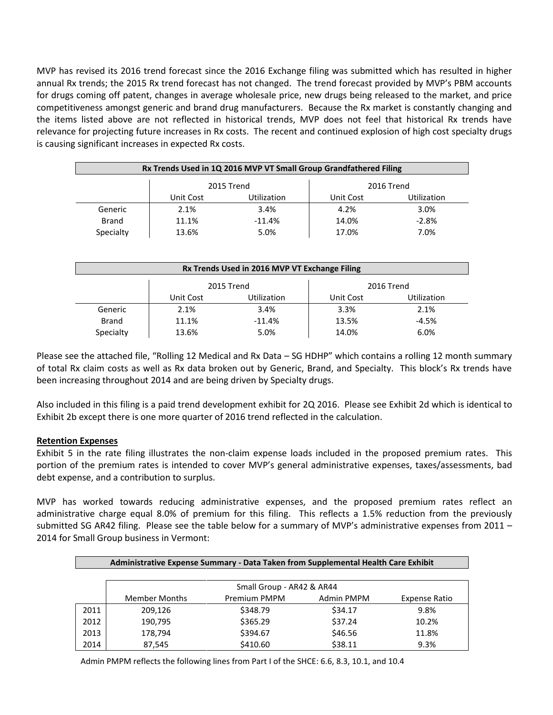MVP has revised its 2016 trend forecast since the 2016 Exchange filing was submitted which has resulted in higher annual Rx trends; the 2015 Rx trend forecast has not changed. The trend forecast provided by MVP's PBM accounts for drugs coming off patent, changes in average wholesale price, new drugs being released to the market, and price competitiveness amongst generic and brand drug manufacturers. Because the Rx market is constantly changing and the items listed above are not reflected in historical trends, MVP does not feel that historical Rx trends have relevance for projecting future increases in Rx costs. The recent and continued explosion of high cost specialty drugs is causing significant increases in expected Rx costs.

| Rx Trends Used in 1Q 2016 MVP VT Small Group Grandfathered Filing |                                                                    |          |       |         |  |  |
|-------------------------------------------------------------------|--------------------------------------------------------------------|----------|-------|---------|--|--|
| 2015 Trend<br>2016 Trend                                          |                                                                    |          |       |         |  |  |
|                                                                   | <b>Utilization</b><br><b>Utilization</b><br>Unit Cost<br>Unit Cost |          |       |         |  |  |
| Generic                                                           | 2.1%                                                               | 3.4%     | 4.2%  | 3.0%    |  |  |
| <b>Brand</b>                                                      | 11.1%                                                              | $-11.4%$ | 14.0% | $-2.8%$ |  |  |
| Specialty                                                         | 13.6%                                                              | 5.0%     | 17.0% | 7.0%    |  |  |

| Rx Trends Used in 2016 MVP VT Exchange Filing |           |                    |           |             |  |  |  |  |  |
|-----------------------------------------------|-----------|--------------------|-----------|-------------|--|--|--|--|--|
|                                               |           |                    |           |             |  |  |  |  |  |
|                                               |           | 2015 Trend         |           | 2016 Trend  |  |  |  |  |  |
|                                               | Unit Cost | <b>Utilization</b> | Unit Cost | Utilization |  |  |  |  |  |
| Generic                                       | 2.1%      | 3.4%               | 3.3%      | 2.1%        |  |  |  |  |  |
| <b>Brand</b>                                  | 11.1%     | $-11.4%$           | 13.5%     | $-4.5%$     |  |  |  |  |  |
| Specialty                                     | 13.6%     | 5.0%               | 14.0%     | 6.0%        |  |  |  |  |  |

Please see the attached file, "Rolling 12 Medical and Rx Data – SG HDHP" which contains a rolling 12 month summary of total Rx claim costs as well as Rx data broken out by Generic, Brand, and Specialty. This block's Rx trends have been increasing throughout 2014 and are being driven by Specialty drugs.

Also included in this filing is a paid trend development exhibit for 2Q 2016. Please see Exhibit 2d which is identical to Exhibit 2b except there is one more quarter of 2016 trend reflected in the calculation.

## **Retention Expenses**

Exhibit 5 in the rate filing illustrates the non-claim expense loads included in the proposed premium rates. This portion of the premium rates is intended to cover MVP's general administrative expenses, taxes/assessments, bad debt expense, and a contribution to surplus.

MVP has worked towards reducing administrative expenses, and the proposed premium rates reflect an administrative charge equal 8.0% of premium for this filing. This reflects a 1.5% reduction from the previously submitted SG AR42 filing. Please see the table below for a summary of MVP's administrative expenses from 2011 -2014 for Small Group business in Vermont:

|      | Administrative Expense Summary - Data Taken from Supplemental Health Care Exhibit |                           |            |               |  |  |  |  |
|------|-----------------------------------------------------------------------------------|---------------------------|------------|---------------|--|--|--|--|
|      |                                                                                   |                           |            |               |  |  |  |  |
|      |                                                                                   | Small Group - AR42 & AR44 |            |               |  |  |  |  |
|      | <b>Member Months</b>                                                              | Premium PMPM              | Admin PMPM | Expense Ratio |  |  |  |  |
| 2011 | 209.126                                                                           | \$348.79                  | \$34.17    | 9.8%          |  |  |  |  |
| 2012 | 190,795                                                                           | \$365.29                  | \$37.24    | 10.2%         |  |  |  |  |
| 2013 | 178,794                                                                           | \$394.67                  | \$46.56    | 11.8%         |  |  |  |  |
| 2014 | 87.545                                                                            | \$410.60                  | \$38.11    | 9.3%          |  |  |  |  |

Admin PMPM reflects the following lines from Part I of the SHCE: 6.6, 8.3, 10.1, and 10.4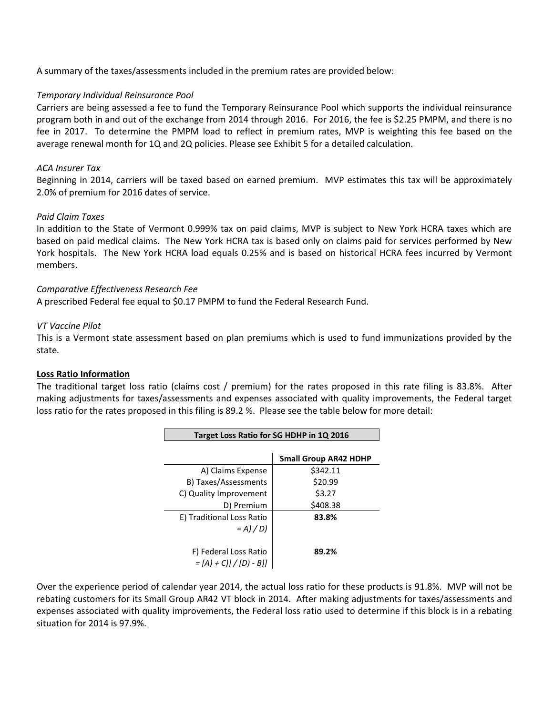A summary of the taxes/assessments included in the premium rates are provided below:

#### *Temporary Individual Reinsurance Pool*

Carriers are being assessed a fee to fund the Temporary Reinsurance Pool which supports the individual reinsurance program both in and out of the exchange from 2014 through 2016. For 2016, the fee is \$2.25 PMPM, and there is no fee in 2017. To determine the PMPM load to reflect in premium rates, MVP is weighting this fee based on the average renewal month for 1Q and 2Q policies. Please see Exhibit 5 for a detailed calculation.

#### *ACA Insurer Tax*

Beginning in 2014, carriers will be taxed based on earned premium. MVP estimates this tax will be approximately 2.0% of premium for 2016 dates of service.

#### *Paid Claim Taxes*

In addition to the State of Vermont 0.999% tax on paid claims, MVP is subject to New York HCRA taxes which are based on paid medical claims. The New York HCRA tax is based only on claims paid for services performed by New York hospitals. The New York HCRA load equals 0.25% and is based on historical HCRA fees incurred by Vermont members.

#### *Comparative Effectiveness Research Fee*

A prescribed Federal fee equal to \$0.17 PMPM to fund the Federal Research Fund.

#### *VT Vaccine Pilot*

This is a Vermont state assessment based on plan premiums which is used to fund immunizations provided by the state*.* 

#### **Loss Ratio Information**

The traditional target loss ratio (claims cost / premium) for the rates proposed in this rate filing is 83.8%. After making adjustments for taxes/assessments and expenses associated with quality improvements, the Federal target loss ratio for the rates proposed in this filing is 89.2 %. Please see the table below for more detail:

| Target Loss Ratio for SG HDHP in 1Q 2016 |                              |  |  |  |  |  |  |
|------------------------------------------|------------------------------|--|--|--|--|--|--|
|                                          |                              |  |  |  |  |  |  |
|                                          | <b>Small Group AR42 HDHP</b> |  |  |  |  |  |  |
| A) Claims Expense                        | \$342.11                     |  |  |  |  |  |  |
| B) Taxes/Assessments                     | \$20.99                      |  |  |  |  |  |  |
| C) Quality Improvement                   | \$3.27                       |  |  |  |  |  |  |
| D) Premium                               | \$408.38                     |  |  |  |  |  |  |
| E) Traditional Loss Ratio                | 83.8%                        |  |  |  |  |  |  |
| $= A$ ) / D)                             |                              |  |  |  |  |  |  |
|                                          |                              |  |  |  |  |  |  |
| F) Federal Loss Ratio                    | 89.2%                        |  |  |  |  |  |  |
| $=[A + C] / [D - B]$                     |                              |  |  |  |  |  |  |

Over the experience period of calendar year 2014, the actual loss ratio for these products is 91.8%. MVP will not be rebating customers for its Small Group AR42 VT block in 2014. After making adjustments for taxes/assessments and expenses associated with quality improvements, the Federal loss ratio used to determine if this block is in a rebating situation for 2014 is 97.9%.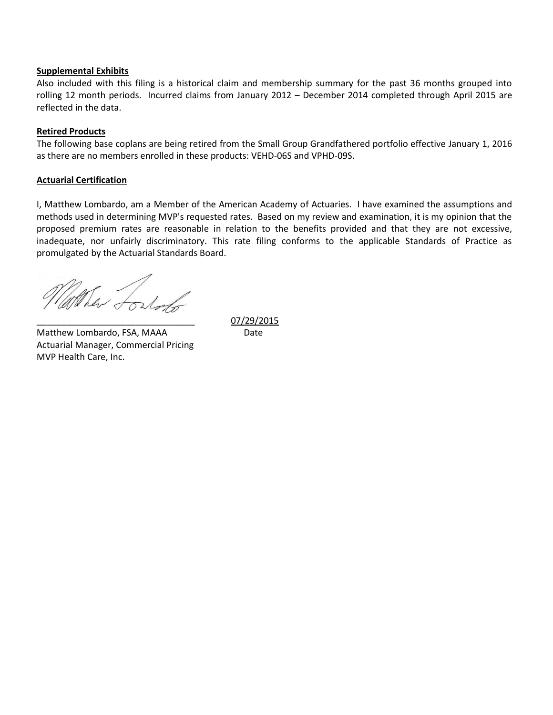#### **Supplemental Exhibits**

Also included with this filing is a historical claim and membership summary for the past 36 months grouped into rolling 12 month periods. Incurred claims from January 2012 – December 2014 completed through April 2015 are reflected in the data.

#### **Retired Products**

The following base coplans are being retired from the Small Group Grandfathered portfolio effective January 1, 2016 as there are no members enrolled in these products: VEHD-06S and VPHD-09S.

#### **Actuarial Certification**

I, Matthew Lombardo, am a Member of the American Academy of Actuaries. I have examined the assumptions and methods used in determining MVP's requested rates. Based on my review and examination, it is my opinion that the proposed premium rates are reasonable in relation to the benefits provided and that they are not excessive, inadequate, nor unfairly discriminatory. This rate filing conforms to the applicable Standards of Practice as promulgated by the Actuarial Standards Board.

They forhorts

Matthew Lombardo, FSA, MAAA Date Actuarial Manager, Commercial Pricing MVP Health Care, Inc.

\_\_\_\_\_\_\_\_\_\_\_\_\_\_\_\_\_\_\_\_\_\_\_\_\_\_\_\_\_\_\_\_ 07/29/2015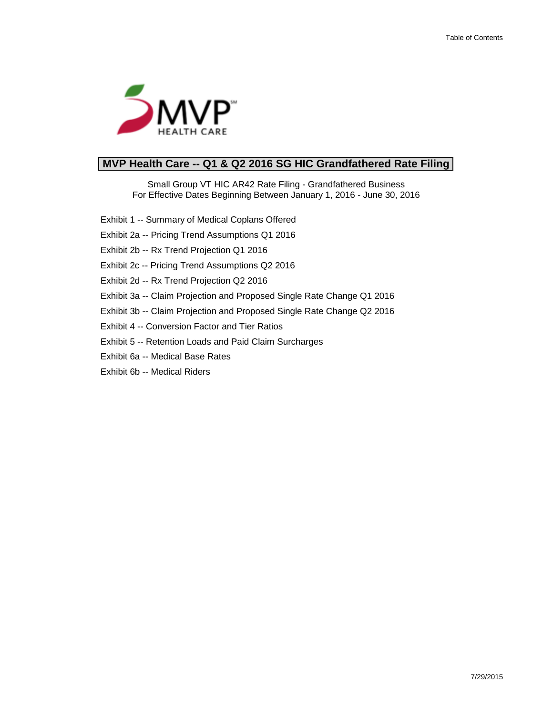

# **MVP Health Care -- Q1 & Q2 2016 SG HIC Grandfathered Rate Filing**

Small Group VT HIC AR42 Rate Filing - Grandfathered Business For Effective Dates Beginning Between January 1, 2016 - June 30, 2016

Exhibit 1 -- Summary of Medical Coplans Offered

Exhibit 2a -- Pricing Trend Assumptions Q1 2016

Exhibit 2b -- Rx Trend Projection Q1 2016

Exhibit 2c -- Pricing Trend Assumptions Q2 2016

- Exhibit 2d -- Rx Trend Projection Q2 2016
- Exhibit 3a -- Claim Projection and Proposed Single Rate Change Q1 2016
- Exhibit 3b -- Claim Projection and Proposed Single Rate Change Q2 2016
- Exhibit 4 -- Conversion Factor and Tier Ratios
- Exhibit 5 -- Retention Loads and Paid Claim Surcharges
- Exhibit 6a -- Medical Base Rates
- Exhibit 6b -- Medical Riders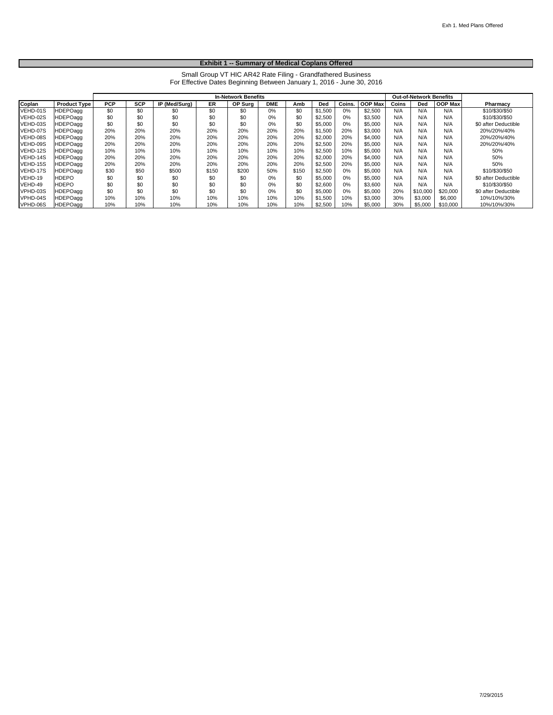#### **Exhibit 1 -- Summary of Medical Coplans Offered**

Small Group VT HIC AR42 Rate Filing - Grandfathered Business For Effective Dates Beginning Between January 1, 2016 - June 30, 2016

|          |                     | <b>In-Network Benefits</b> |            |               |       |         |            |       | <b>Out-of-Network Benefits</b> |        |                |       |          |                |                      |
|----------|---------------------|----------------------------|------------|---------------|-------|---------|------------|-------|--------------------------------|--------|----------------|-------|----------|----------------|----------------------|
| Coplan   | <b>Product Type</b> | <b>PCP</b>                 | <b>SCP</b> | IP (Med/Surg) | ER.   | OP Sura | <b>DME</b> | Amb   | Ded                            | Coins. | <b>OOP Max</b> | Coins | Ded      | <b>OOP Max</b> | Pharmacy             |
| VEHD-01S | <b>HDEPOagg</b>     | \$0                        | \$0        | \$0           | \$0   | \$0     | 0%         | \$0   | \$1,500                        | 0%     | \$2,500        | N/A   | N/A      | N/A            | \$10/\$30/\$50       |
| VEHD-02S | HDEPOagg            | \$0                        | \$0        | \$0           | \$0   | \$0     | 0%         | \$0   | \$2,500                        | 0%     | \$3.500        | N/A   | N/A      | N/A            | \$10/\$30/\$50       |
| VEHD-03S | <b>IHDEPOagg</b>    | \$0                        | \$0        | \$0           | \$0   | \$0     | 0%         | \$0   | \$5,000                        | 0%     | \$5,000        | N/A   | N/A      | N/A            | \$0 after Deductible |
| VEHD-07S | HDEPOagg            | 20%                        | 20%        | 20%           | 20%   | 20%     | 20%        | 20%   | \$1,500                        | 20%    | \$3,000        | N/A   | N/A      | N/A            | 20%/20%/40%          |
| VEHD-08S | <b>HDEPOagg</b>     | 20%                        | 20%        | 20%           | 20%   | 20%     | 20%        | 20%   | \$2,000                        | 20%    | \$4,000        | N/A   | N/A      | N/A            | 20%/20%/40%          |
| VEHD-09S | <b>HDEPOagg</b>     | 20%                        | 20%        | 20%           | 20%   | 20%     | 20%        | 20%   | \$2,500                        | 20%    | \$5,000        | N/A   | N/A      | N/A            | 20%/20%/40%          |
| VEHD-12S | <b>IHDEPOagg</b>    | 10%                        | 10%        | 10%           | 10%   | 10%     | 10%        | 10%   | \$2,500                        | 10%    | \$5,000        | N/A   | N/A      | N/A            | 50%                  |
| VEHD-14S | HDEPOagg            | 20%                        | 20%        | 20%           | 20%   | 20%     | 20%        | 20%   | \$2,000                        | 20%    | \$4,000        | N/A   | N/A      | N/A            | 50%                  |
| VEHD-15S | <b>IHDEPOagg</b>    | 20%                        | 20%        | 20%           | 20%   | 20%     | 20%        | 20%   | \$2,500                        | 20%    | \$5,000        | N/A   | N/A      | N/A            | 50%                  |
| VEHD-17S | <b>HDEPOagg</b>     | \$30                       | \$50       | \$500         | \$150 | \$200   | 50%        | \$150 | \$2,500                        | 0%     | \$5,000        | N/A   | N/A      | N/A            | \$10/\$30/\$50       |
| VEHD-19  | <b>HDEPO</b>        | \$0                        | \$0        | \$0           | \$0   | \$0     | 0%         | \$0   | \$5,000                        | 0%     | \$5,000        | N/A   | N/A      | N/A            | \$0 after Deductible |
| VEHD-49  | <b>HDEPO</b>        | \$0                        | \$0        | \$0           | \$0   | \$0     | 0%         | \$0   | \$2,600                        | 0%     | \$3.600        | N/A   | N/A      | N/A            | \$10/\$30/\$50       |
| VPHD-03S | <b>HDEPOagg</b>     | \$0                        | \$0        | \$0           | \$0   | \$0     | 0%         | \$0   | \$5,000                        | 0%     | \$5,000        | 20%   | \$10,000 | \$20,000       | \$0 after Deductible |
| VPHD-04S | <b>IHDEPOagg</b>    | 10%                        | 10%        | 10%           | 10%   | 10%     | 10%        | 10%   | \$1,500                        | 10%    | \$3,000        | 30%   | \$3,000  | \$6,000        | 10%/10%/30%          |
| VPHD-06S | <b>HDEPOagg</b>     | 10%                        | 10%        | 10%           | 10%   | 10%     | 10%        | 10%   | \$2,500                        | 10%    | \$5,000        | 30%   | \$5,000  | \$10,000       | 10%/10%/30%          |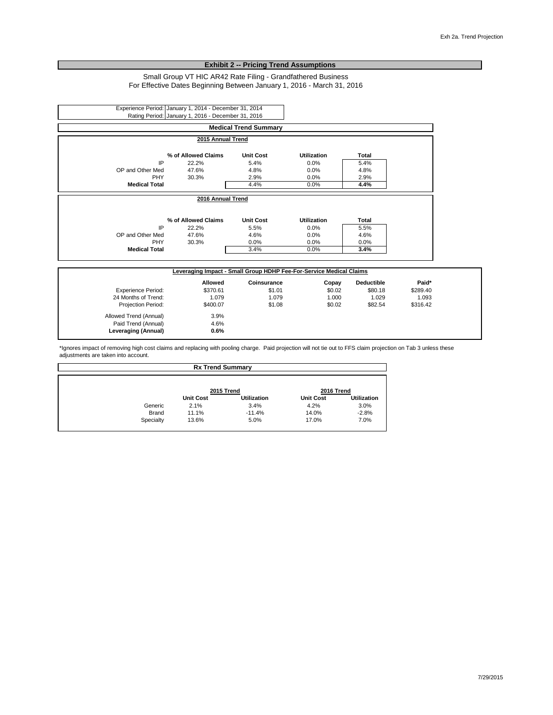#### **Exhibit 2 -- Pricing Trend Assumptions**

#### Small Group VT HIC AR42 Rate Filing - Grandfathered Business For Effective Dates Beginning Between January 1, 2016 - March 31, 2016

|                      |                     | <b>Medical Trend Summary</b> |                    |       |  |
|----------------------|---------------------|------------------------------|--------------------|-------|--|
|                      | 2015 Annual Trend   |                              |                    |       |  |
|                      | % of Allowed Claims | <b>Unit Cost</b>             | Utilization        | Total |  |
| IP                   | 22.2%               | 5.4%                         | 0.0%               | 5.4%  |  |
| OP and Other Med     | 47.6%               | 4.8%                         | 0.0%               | 4.8%  |  |
| <b>PHY</b>           | 30.3%               | 2.9%                         | 0.0%               | 2.9%  |  |
| <b>Medical Total</b> |                     | 4.4%                         | 0.0%               | 4.4%  |  |
|                      | 2016 Annual Trend   |                              |                    |       |  |
|                      | % of Allowed Claims | <b>Unit Cost</b>             | <b>Utilization</b> | Total |  |
| IP                   | 22.2%               | 5.5%                         | 0.0%               | 5.5%  |  |
|                      | 47.6%               | 4.6%                         | 0.0%               | 4.6%  |  |
| OP and Other Med     | 30.3%               | 0.0%                         | 0.0%               | 0.0%  |  |
| <b>PHY</b>           |                     |                              | 0.0%               | 3.4%  |  |
| <b>Medical Total</b> |                     | 3.4%                         |                    |       |  |

|                           | Allowed  | Coinsurance | Copay  | <b>Deductible</b> | Paid*    |  |
|---------------------------|----------|-------------|--------|-------------------|----------|--|
| <b>Experience Period:</b> | \$370.61 | \$1.01      | \$0.02 | \$80.18           | \$289.40 |  |
| 24 Months of Trend:       | 1.079    | 1.079       | 1.000  | 1.029             | 1.093    |  |
| <b>Projection Period:</b> | \$400.07 | \$1.08      | \$0.02 | \$82.54           | \$316.42 |  |
| Allowed Trend (Annual)    | 3.9%     |             |        |                   |          |  |
| Paid Trend (Annual)       | 4.6%     |             |        |                   |          |  |
| Leveraging (Annual)       | 0.6%     |             |        |                   |          |  |

\*Ignores impact of removing high cost claims and replacing with pooling charge. Paid projection will not tie out to FFS claim projection on Tab 3 unless these adjustments are taken into account.

| <b>Rx Trend Summary</b> |                  |                    |                  |                    |  |  |  |  |
|-------------------------|------------------|--------------------|------------------|--------------------|--|--|--|--|
|                         |                  |                    |                  |                    |  |  |  |  |
|                         |                  | 2015 Trend         | 2016 Trend       |                    |  |  |  |  |
|                         | <b>Unit Cost</b> | <b>Utilization</b> | <b>Unit Cost</b> | <b>Utilization</b> |  |  |  |  |
| Generic                 | 2.1%             | 3.4%               | 4.2%             | 3.0%               |  |  |  |  |
| <b>Brand</b>            | 11.1%            | $-11.4%$           | 14.0%            | $-2.8%$            |  |  |  |  |
| Specialty               | 13.6%            | 5.0%               | 17.0%            | 7.0%               |  |  |  |  |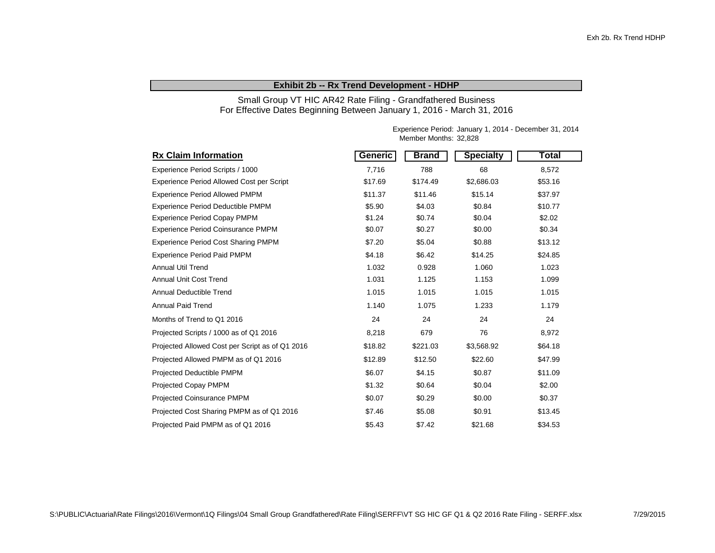#### **Exhibit 2b -- Rx Trend Development - HDHP**

Small Group VT HIC AR42 Rate Filing - Grandfathered Business For Effective Dates Beginning Between January 1, 2016 - March 31, 2016

| <b>Rx Claim Information</b>                     | Generic | <b>Brand</b> | <b>Specialty</b> | <b>Total</b> |
|-------------------------------------------------|---------|--------------|------------------|--------------|
| Experience Period Scripts / 1000                | 7,716   | 788          | 68               | 8,572        |
| Experience Period Allowed Cost per Script       | \$17.69 | \$174.49     | \$2,686.03       | \$53.16      |
| <b>Experience Period Allowed PMPM</b>           | \$11.37 | \$11.46      | \$15.14          | \$37.97      |
| Experience Period Deductible PMPM               | \$5.90  | \$4.03       | \$0.84           | \$10.77      |
| <b>Experience Period Copay PMPM</b>             | \$1.24  | \$0.74       | \$0.04           | \$2.02       |
| Experience Period Coinsurance PMPM              | \$0.07  | \$0.27       | \$0.00           | \$0.34       |
| <b>Experience Period Cost Sharing PMPM</b>      | \$7.20  | \$5.04       | \$0.88           | \$13.12      |
| <b>Experience Period Paid PMPM</b>              | \$4.18  | \$6.42       | \$14.25          | \$24.85      |
| <b>Annual Util Trend</b>                        | 1.032   | 0.928        | 1.060            | 1.023        |
| Annual Unit Cost Trend                          | 1.031   | 1.125        | 1.153            | 1.099        |
| <b>Annual Deductible Trend</b>                  | 1.015   | 1.015        | 1.015            | 1.015        |
| <b>Annual Paid Trend</b>                        | 1.140   | 1.075        | 1.233            | 1.179        |
| Months of Trend to Q1 2016                      | 24      | 24           | 24               | 24           |
| Projected Scripts / 1000 as of Q1 2016          | 8,218   | 679          | 76               | 8,972        |
| Projected Allowed Cost per Script as of Q1 2016 | \$18.82 | \$221.03     | \$3,568.92       | \$64.18      |
| Projected Allowed PMPM as of Q1 2016            | \$12.89 | \$12.50      | \$22.60          | \$47.99      |
| Projected Deductible PMPM                       | \$6.07  | \$4.15       | \$0.87           | \$11.09      |
| <b>Projected Copay PMPM</b>                     | \$1.32  | \$0.64       | \$0.04           | \$2.00       |
| <b>Projected Coinsurance PMPM</b>               | \$0.07  | \$0.29       | \$0.00           | \$0.37       |
| Projected Cost Sharing PMPM as of Q1 2016       | \$7.46  | \$5.08       | \$0.91           | \$13.45      |
| Projected Paid PMPM as of Q1 2016               | \$5.43  | \$7.42       | \$21.68          | \$34.53      |

Experience Period: January 1, 2014 - December 31, 2014 Member Months: 32,828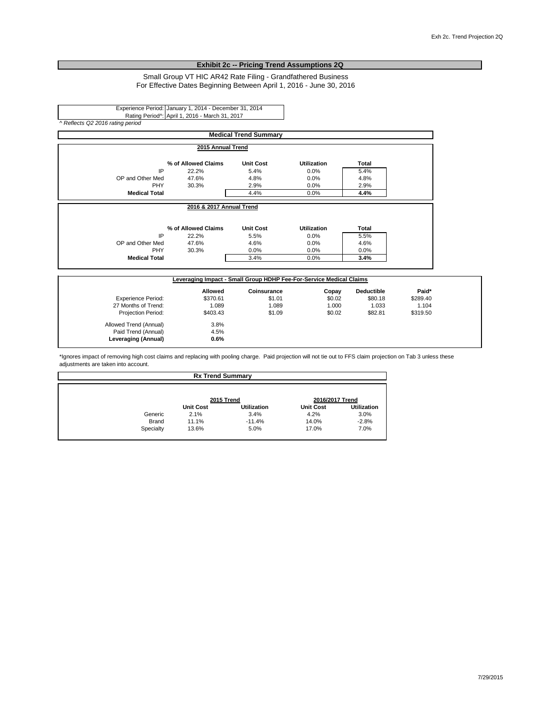#### **Exhibit 2c -- Pricing Trend Assumptions 2Q**

Small Group VT HIC AR42 Rate Filing - Grandfathered Business For Effective Dates Beginning Between April 1, 2016 - June 30, 2016

Experience Period: January 1, 2014 - December 31, 2014 Rating Period^: April 1, 2016 - March 31, 2017 *^ Reflects Q2 2016 rating period*

> Allowed Trend (Annual) 3.8%<br>Paid Trend (Annual) 4.5% Paid Trend (Annual) 4.5%<br> **Leveraging (Annual)** 0.6%

**Leveraging (Annual) 0.6%**

|                           |                                                                     | <b>Medical Trend Summary</b> |                    |                   |          |
|---------------------------|---------------------------------------------------------------------|------------------------------|--------------------|-------------------|----------|
|                           | 2015 Annual Trend                                                   |                              |                    |                   |          |
|                           | % of Allowed Claims                                                 | <b>Unit Cost</b>             | Utilization        | Total             |          |
| IP                        | 22.2%                                                               | 5.4%                         | 0.0%               | 5.4%              |          |
| OP and Other Med          | 47.6%                                                               | 4.8%                         | 0.0%               | 4.8%              |          |
| <b>PHY</b>                | 30.3%                                                               | 2.9%                         | 0.0%               | 2.9%              |          |
| <b>Medical Total</b>      |                                                                     | 4.4%                         | 0.0%               | 4.4%              |          |
|                           | 2016 & 2017 Annual Trend                                            |                              |                    |                   |          |
|                           | % of Allowed Claims                                                 | <b>Unit Cost</b>             | <b>Utilization</b> | Total             |          |
| IP                        | 22.2%                                                               | 5.5%                         | 0.0%               | 5.5%              |          |
| OP and Other Med          | 47.6%                                                               | 4.6%                         | 0.0%               | 4.6%              |          |
| PHY                       | 30.3%                                                               | 0.0%                         | 0.0%               | 0.0%              |          |
| <b>Medical Total</b>      |                                                                     | 3.4%                         | 0.0%               | 3.4%              |          |
|                           | Leveraging Impact - Small Group HDHP Fee-For-Service Medical Claims |                              |                    |                   |          |
|                           | Allowed                                                             | Coinsurance                  | Copay              | <b>Deductible</b> | Paid*    |
| <b>Experience Period:</b> | \$370.61                                                            | \$1.01                       | \$0.02             | \$80.18           | \$289.40 |
| 27 Months of Trend:       | 1.089                                                               | 1.089                        | 1.000              | 1.033             | 1.104    |
| Projection Period:        | \$403.43                                                            | \$1.09                       | \$0.02             | \$82.81           | \$319.50 |

\*Ignores impact of removing high cost claims and replacing with pooling charge. Paid projection will not tie out to FFS claim projection on Tab 3 unless these adjustments are taken into account.

|              | <b>Rx Trend Summary</b> |                    |                  |                    |  |
|--------------|-------------------------|--------------------|------------------|--------------------|--|
|              | 2015 Trend              |                    | 2016/2017 Trend  |                    |  |
|              | <b>Unit Cost</b>        | <b>Utilization</b> | <b>Unit Cost</b> | <b>Utilization</b> |  |
| Generic      | 2.1%                    | 3.4%               | 4.2%             | 3.0%               |  |
| <b>Brand</b> | 11.1%                   | $-11.4%$           | 14.0%            | $-2.8%$            |  |
| Specialty    | 13.6%                   | 5.0%               | 17.0%            | 7.0%               |  |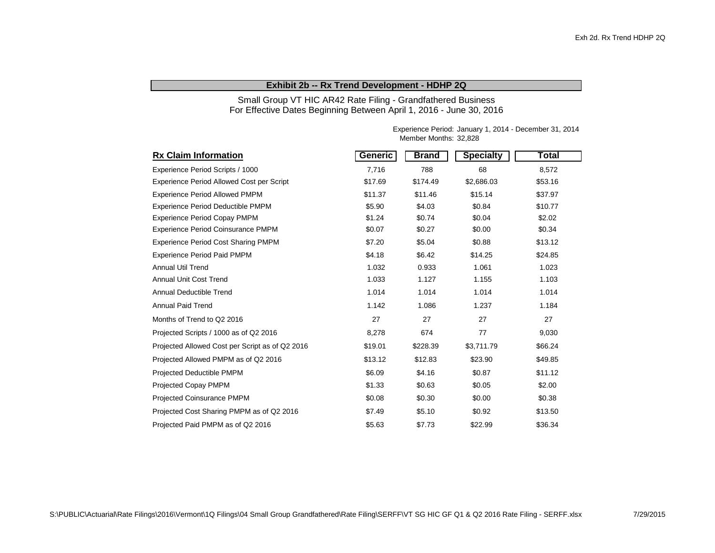#### **Exhibit 2b -- Rx Trend Development - HDHP 2Q**

Small Group VT HIC AR42 Rate Filing - Grandfathered Business For Effective Dates Beginning Between April 1, 2016 - June 30, 2016

| <b>Rx Claim Information</b>                      | Generic | <b>Brand</b> | <b>Specialty</b> | Total   |
|--------------------------------------------------|---------|--------------|------------------|---------|
| Experience Period Scripts / 1000                 | 7,716   | 788          | 68               | 8,572   |
| <b>Experience Period Allowed Cost per Script</b> | \$17.69 | \$174.49     | \$2,686.03       | \$53.16 |
| <b>Experience Period Allowed PMPM</b>            | \$11.37 | \$11.46      | \$15.14          | \$37.97 |
| <b>Experience Period Deductible PMPM</b>         | \$5.90  | \$4.03       | \$0.84           | \$10.77 |
| <b>Experience Period Copay PMPM</b>              | \$1.24  | \$0.74       | \$0.04           | \$2.02  |
| Experience Period Coinsurance PMPM               | \$0.07  | \$0.27       | \$0.00           | \$0.34  |
| <b>Experience Period Cost Sharing PMPM</b>       | \$7.20  | \$5.04       | \$0.88           | \$13.12 |
| <b>Experience Period Paid PMPM</b>               | \$4.18  | \$6.42       | \$14.25          | \$24.85 |
| <b>Annual Util Trend</b>                         | 1.032   | 0.933        | 1.061            | 1.023   |
| <b>Annual Unit Cost Trend</b>                    | 1.033   | 1.127        | 1.155            | 1.103   |
| Annual Deductible Trend                          | 1.014   | 1.014        | 1.014            | 1.014   |
| <b>Annual Paid Trend</b>                         | 1.142   | 1.086        | 1.237            | 1.184   |
| Months of Trend to Q2 2016                       | 27      | 27           | 27               | 27      |
| Projected Scripts / 1000 as of Q2 2016           | 8,278   | 674          | 77               | 9,030   |
| Projected Allowed Cost per Script as of Q2 2016  | \$19.01 | \$228.39     | \$3,711.79       | \$66.24 |
| Projected Allowed PMPM as of Q2 2016             | \$13.12 | \$12.83      | \$23.90          | \$49.85 |
| Projected Deductible PMPM                        | \$6.09  | \$4.16       | \$0.87           | \$11.12 |
| <b>Projected Copay PMPM</b>                      | \$1.33  | \$0.63       | \$0.05           | \$2.00  |
| <b>Projected Coinsurance PMPM</b>                | \$0.08  | \$0.30       | \$0.00           | \$0.38  |
| Projected Cost Sharing PMPM as of Q2 2016        | \$7.49  | \$5.10       | \$0.92           | \$13.50 |
| Projected Paid PMPM as of Q2 2016                | \$5.63  | \$7.73       | \$22.99          | \$36.34 |

Experience Period: January 1, 2014 - December 31, 2014 Member Months: 32,828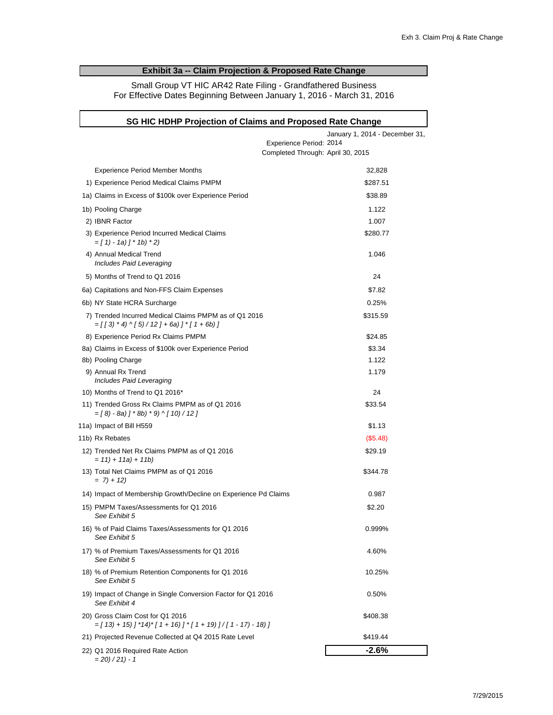## **Exhibit 3a -- Claim Projection & Proposed Rate Change**

Small Group VT HIC AR42 Rate Filing - Grandfathered Business For Effective Dates Beginning Between January 1, 2016 - March 31, 2016

| SG HIC HDHP Projection of Claims and Proposed Rate Change                                                                                           |                                |  |  |  |  |  |  |  |
|-----------------------------------------------------------------------------------------------------------------------------------------------------|--------------------------------|--|--|--|--|--|--|--|
|                                                                                                                                                     | January 1, 2014 - December 31, |  |  |  |  |  |  |  |
| Experience Period: 2014                                                                                                                             |                                |  |  |  |  |  |  |  |
| Completed Through: April 30, 2015                                                                                                                   |                                |  |  |  |  |  |  |  |
| <b>Experience Period Member Months</b>                                                                                                              | 32,828                         |  |  |  |  |  |  |  |
| 1) Experience Period Medical Claims PMPM                                                                                                            | \$287.51                       |  |  |  |  |  |  |  |
| 1a) Claims in Excess of \$100k over Experience Period                                                                                               | \$38.89                        |  |  |  |  |  |  |  |
| 1b) Pooling Charge                                                                                                                                  | 1.122                          |  |  |  |  |  |  |  |
| 2) IBNR Factor                                                                                                                                      | 1.007                          |  |  |  |  |  |  |  |
| 3) Experience Period Incurred Medical Claims<br>$=[1 - 1 - 1a]$ $] * 1b$ $* 2)$                                                                     | \$280.77                       |  |  |  |  |  |  |  |
| 4) Annual Medical Trend<br>Includes Paid Leveraging                                                                                                 | 1.046                          |  |  |  |  |  |  |  |
| 5) Months of Trend to Q1 2016                                                                                                                       | 24                             |  |  |  |  |  |  |  |
| 6a) Capitations and Non-FFS Claim Expenses                                                                                                          | \$7.82                         |  |  |  |  |  |  |  |
| 6b) NY State HCRA Surcharge                                                                                                                         | 0.25%                          |  |  |  |  |  |  |  |
| 7) Trended Incurred Medical Claims PMPM as of Q1 2016<br>$= \left[ \begin{array}{c} 3 \end{array} \right]$ * 4) ^ [ 5) / 12 ] + 6a) ] * [ 1 + 6b) ] | \$315.59                       |  |  |  |  |  |  |  |
| 8) Experience Period Rx Claims PMPM                                                                                                                 | \$24.85                        |  |  |  |  |  |  |  |
| 8a) Claims in Excess of \$100k over Experience Period                                                                                               | \$3.34                         |  |  |  |  |  |  |  |
| 8b) Pooling Charge                                                                                                                                  | 1.122                          |  |  |  |  |  |  |  |
| 9) Annual Rx Trend<br>Includes Paid Leveraging                                                                                                      | 1.179                          |  |  |  |  |  |  |  |
| 10) Months of Trend to Q1 2016*                                                                                                                     | 24                             |  |  |  |  |  |  |  |
| 11) Trended Gross Rx Claims PMPM as of Q1 2016<br>$=[8 - 8a]$ $] * 8b$ $* 9$ $\wedge$ $[10) / 12$ $]$                                               | \$33.54                        |  |  |  |  |  |  |  |
| 11a) Impact of Bill H559                                                                                                                            | \$1.13                         |  |  |  |  |  |  |  |
| 11b) Rx Rebates                                                                                                                                     | (\$5.48)                       |  |  |  |  |  |  |  |
| 12) Trended Net Rx Claims PMPM as of Q1 2016<br>$= 11$ ) + 11a) + 11b)                                                                              | \$29.19                        |  |  |  |  |  |  |  |
| 13) Total Net Claims PMPM as of Q1 2016<br>$= 7 + 12$                                                                                               | \$344.78                       |  |  |  |  |  |  |  |
| 14) Impact of Membership Growth/Decline on Experience Pd Claims                                                                                     | 0.987                          |  |  |  |  |  |  |  |
| 15) PMPM Taxes/Assessments for Q1 2016<br>See Exhibit 5                                                                                             | \$2.20                         |  |  |  |  |  |  |  |
| 16) % of Paid Claims Taxes/Assessments for Q1 2016<br>See Exhibit 5                                                                                 | 0.999%                         |  |  |  |  |  |  |  |
| 17) % of Premium Taxes/Assessments for Q1 2016<br>See Exhibit 5                                                                                     | 4.60%                          |  |  |  |  |  |  |  |
| 18) % of Premium Retention Components for Q1 2016<br>See Exhibit 5                                                                                  | 10.25%                         |  |  |  |  |  |  |  |
| 19) Impact of Change in Single Conversion Factor for Q1 2016<br>See Exhibit 4                                                                       | 0.50%                          |  |  |  |  |  |  |  |
| 20) Gross Claim Cost for Q1 2016<br>$=[13+15]$ $[1*14]^*$ $[1+16]$ $[1+19]$ $]/[1-17) - 18]$                                                        | \$408.38                       |  |  |  |  |  |  |  |
| 21) Projected Revenue Collected at Q4 2015 Rate Level                                                                                               | \$419.44                       |  |  |  |  |  |  |  |
| 22) Q1 2016 Required Rate Action<br>201/241                                                                                                         | $-2.6%$                        |  |  |  |  |  |  |  |

*= 20) / 21) - 1*

r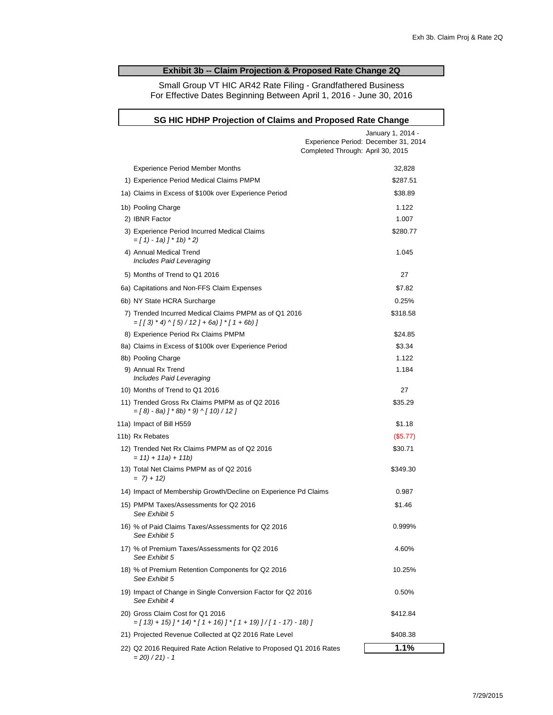### **Exhibit 3b -- Claim Projection & Proposed Rate Change 2Q**

Small Group VT HIC AR42 Rate Filing - Grandfathered Business For Effective Dates Beginning Between April 1, 2016 - June 30, 2016

| SG HIC HDHP Projection of Claims and Proposed Rate Change                                             |                                                                                                |  |  |  |  |  |  |  |  |
|-------------------------------------------------------------------------------------------------------|------------------------------------------------------------------------------------------------|--|--|--|--|--|--|--|--|
|                                                                                                       | January 1, 2014 -<br>Experience Period: December 31, 2014<br>Completed Through: April 30, 2015 |  |  |  |  |  |  |  |  |
| <b>Experience Period Member Months</b>                                                                | 32,828                                                                                         |  |  |  |  |  |  |  |  |
| 1) Experience Period Medical Claims PMPM                                                              | \$287.51                                                                                       |  |  |  |  |  |  |  |  |
| 1a) Claims in Excess of \$100k over Experience Period                                                 | \$38.89                                                                                        |  |  |  |  |  |  |  |  |
| 1b) Pooling Charge                                                                                    | 1.122                                                                                          |  |  |  |  |  |  |  |  |
| 2) IBNR Factor                                                                                        | 1.007                                                                                          |  |  |  |  |  |  |  |  |
| 3) Experience Period Incurred Medical Claims<br>$=[1 - 1 - 1a]$ $[ * 1b] * 2]$                        | \$280.77                                                                                       |  |  |  |  |  |  |  |  |
| 4) Annual Medical Trend<br>Includes Paid Leveraging                                                   | 1.045                                                                                          |  |  |  |  |  |  |  |  |
| 5) Months of Trend to Q1 2016                                                                         | 27                                                                                             |  |  |  |  |  |  |  |  |
| 6a) Capitations and Non-FFS Claim Expenses                                                            | \$7.82                                                                                         |  |  |  |  |  |  |  |  |
| 6b) NY State HCRA Surcharge                                                                           | 0.25%                                                                                          |  |  |  |  |  |  |  |  |
| 7) Trended Incurred Medical Claims PMPM as of Q1 2016<br>$=[[3, 4] \cdot [5] / 12] + 6a]$ $[1 + 6b]$  | \$318.58                                                                                       |  |  |  |  |  |  |  |  |
| 8) Experience Period Rx Claims PMPM                                                                   | \$24.85                                                                                        |  |  |  |  |  |  |  |  |
| 8a) Claims in Excess of \$100k over Experience Period                                                 | \$3.34                                                                                         |  |  |  |  |  |  |  |  |
| 8b) Pooling Charge                                                                                    | 1.122                                                                                          |  |  |  |  |  |  |  |  |
| 9) Annual Rx Trend<br>Includes Paid Leveraging                                                        | 1.184                                                                                          |  |  |  |  |  |  |  |  |
| 10) Months of Trend to Q1 2016                                                                        | 27                                                                                             |  |  |  |  |  |  |  |  |
| 11) Trended Gross Rx Claims PMPM as of Q2 2016<br>$=[8 - 8a]$ $] * 8b$ $* 9$ $\wedge$ $[10) / 12$ $]$ | \$35.29                                                                                        |  |  |  |  |  |  |  |  |
| 11a) Impact of Bill H559                                                                              | \$1.18                                                                                         |  |  |  |  |  |  |  |  |
| 11b) Rx Rebates                                                                                       | (S5.77)                                                                                        |  |  |  |  |  |  |  |  |
| 12) Trended Net Rx Claims PMPM as of Q2 2016<br>$= 11$ ) + 11a) + 11b)                                | \$30.71                                                                                        |  |  |  |  |  |  |  |  |
| 13) Total Net Claims PMPM as of Q2 2016<br>$= 7 + 12$                                                 | \$349.30                                                                                       |  |  |  |  |  |  |  |  |
| 14) Impact of Membership Growth/Decline on Experience Pd Claims                                       | 0.987                                                                                          |  |  |  |  |  |  |  |  |
| 15) PMPM Taxes/Assessments for Q2 2016<br>See Exhibit 5                                               | \$1.46                                                                                         |  |  |  |  |  |  |  |  |
| 16) % of Paid Claims Taxes/Assessments for Q2 2016<br>See Exhibit 5                                   | 0.999%                                                                                         |  |  |  |  |  |  |  |  |
| 17) % of Premium Taxes/Assessments for Q2 2016<br>See Exhibit 5                                       | 4.60%                                                                                          |  |  |  |  |  |  |  |  |
| 18) % of Premium Retention Components for Q2 2016<br>See Exhibit 5                                    | 10.25%                                                                                         |  |  |  |  |  |  |  |  |
| 19) Impact of Change in Single Conversion Factor for Q2 2016<br>See Exhibit 4                         | 0.50%                                                                                          |  |  |  |  |  |  |  |  |
| 20) Gross Claim Cost for Q1 2016<br>$=[13+15]$ $]$ * 14) * [1 + 16) ] * [1 + 19) ] / [1 - 17) - 18) ] | \$412.84                                                                                       |  |  |  |  |  |  |  |  |
| 21) Projected Revenue Collected at Q2 2016 Rate Level                                                 | \$408.38                                                                                       |  |  |  |  |  |  |  |  |
| 22) Q2 2016 Required Rate Action Relative to Proposed Q1 2016 Rates<br>$= 20/21 - 1$                  | 1.1%                                                                                           |  |  |  |  |  |  |  |  |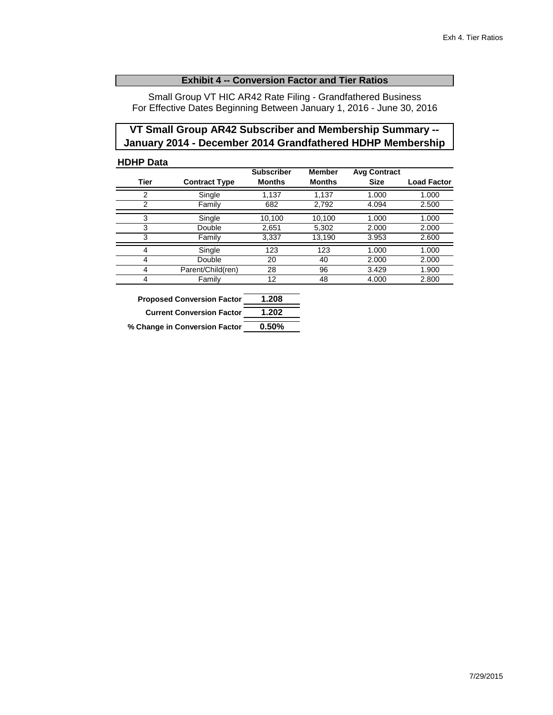### **Exhibit 4 -- Conversion Factor and Tier Ratios**

Small Group VT HIC AR42 Rate Filing - Grandfathered Business For Effective Dates Beginning Between January 1, 2016 - June 30, 2016

## **VT Small Group AR42 Subscriber and Membership Summary -- January 2014 - December 2014 Grandfathered HDHP Membership**

## **HDHP Data**

|             |                      | <b>Subscriber</b> | <b>Member</b> | <b>Avg Contract</b> |                    |
|-------------|----------------------|-------------------|---------------|---------------------|--------------------|
| <b>Tier</b> | <b>Contract Type</b> | <b>Months</b>     | <b>Months</b> | <b>Size</b>         | <b>Load Factor</b> |
| 2           | Single               | 1,137             | 1,137         | 1.000               | 1.000              |
| 2           | Family               | 682               | 2,792         | 4.094               | 2.500              |
|             |                      |                   |               |                     |                    |
| 3           | Single               | 10,100            | 10.100        | 1.000               | 1.000              |
| 3           | Double               | 2,651             | 5,302         | 2.000               | 2.000              |
| 3           | Family               | 3,337             | 13,190        | 3.953               | 2.600              |
| 4           | Single               | 123               | 123           | 1.000               | 1.000              |
| 4           | Double               | 20                | 40            | 2.000               | 2.000              |
| 4           | Parent/Child(ren)    | 28                | 96            | 3.429               | 1.900              |
| 4           | Family               | 12                | 48            | 4.000               | 2.800              |

| <b>Proposed Conversion Factor</b> | 1.208 |
|-----------------------------------|-------|
| <b>Current Conversion Factor</b>  | 1.202 |
| % Change in Conversion Factor     | 0.50% |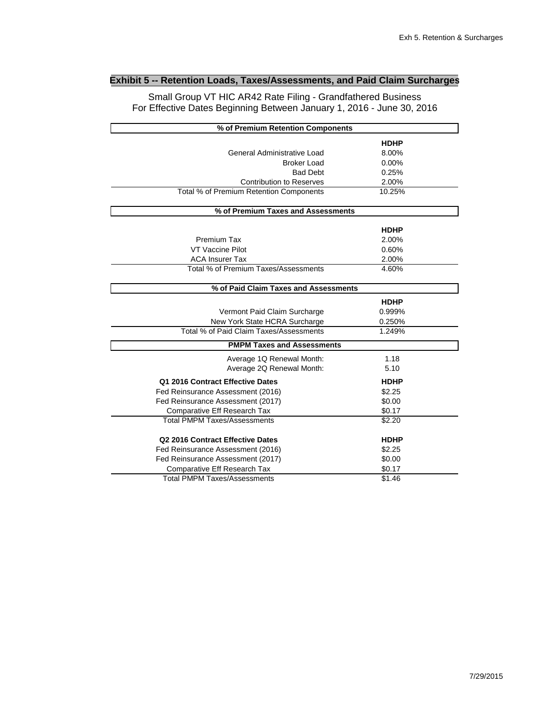## **Exhibit 5 -- Retention Loads, Taxes/Assessments, and Paid Claim Surcharges**

Small Group VT HIC AR42 Rate Filing - Grandfathered Business For Effective Dates Beginning Between January 1, 2016 - June 30, 2016

| % of Premium Retention Components       |             |  |
|-----------------------------------------|-------------|--|
|                                         | <b>HDHP</b> |  |
| General Administrative Load             | 8.00%       |  |
| <b>Broker Load</b>                      | 0.00%       |  |
| <b>Bad Debt</b>                         | 0.25%       |  |
| <b>Contribution to Reserves</b>         | 2.00%       |  |
| Total % of Premium Retention Components | 10.25%      |  |
| % of Premium Taxes and Assessments      |             |  |
|                                         | <b>HDHP</b> |  |
| Premium Tax                             | 2.00%       |  |
| VT Vaccine Pilot                        | 0.60%       |  |
| <b>ACA Insurer Tax</b>                  | 2.00%       |  |
| Total % of Premium Taxes/Assessments    | 4.60%       |  |
| % of Paid Claim Taxes and Assessments   |             |  |
|                                         | <b>HDHP</b> |  |
| Vermont Paid Claim Surcharge            | 0.999%      |  |
| New York State HCRA Surcharge           | 0.250%      |  |
| Total % of Paid Claim Taxes/Assessments | 1.249%      |  |
| <b>PMPM Taxes and Assessments</b>       |             |  |
| Average 1Q Renewal Month:               | 1.18        |  |
| Average 2Q Renewal Month:               | 5.10        |  |
| Q1 2016 Contract Effective Dates        | <b>HDHP</b> |  |
| Fed Reinsurance Assessment (2016)       | \$2.25      |  |
| Fed Reinsurance Assessment (2017)       | \$0.00      |  |
| Comparative Eff Research Tax            | \$0.17      |  |
| <b>Total PMPM Taxes/Assessments</b>     | \$2.20      |  |
| Q2 2016 Contract Effective Dates        | <b>HDHP</b> |  |
| Fed Reinsurance Assessment (2016)       | \$2.25      |  |
| Fed Reinsurance Assessment (2017)       | \$0.00      |  |
| Comparative Eff Research Tax            | \$0.17      |  |
| <b>Total PMPM Taxes/Assessments</b>     | \$1.46      |  |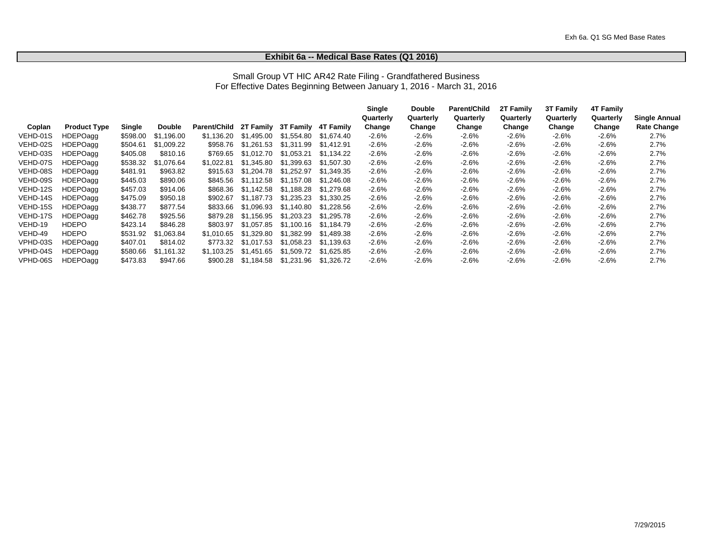#### **Exhibit 6a -- Medical Base Rates (Q1 2016)**

#### Small Group VT HIC AR42 Rate Filing - Grandfathered Business For Effective Dates Beginning Between January 1, 2016 - March 31, 2016

|          |                     |          |               |              |            |                     |            | Single    | <b>Double</b> | Parent/Child | 2T Family | 3T Family | <b>4T Family</b> |                      |
|----------|---------------------|----------|---------------|--------------|------------|---------------------|------------|-----------|---------------|--------------|-----------|-----------|------------------|----------------------|
|          |                     |          |               |              |            |                     |            | Quarterly | Quarterly     | Quarterly    | Quarterly | Quarterly | Quarterly        | <b>Single Annual</b> |
| Coplan   | <b>Product Type</b> | Single   | <b>Double</b> | Parent/Child |            | 2T Family 3T Family | 4T Family  | Change    | Change        | Change       | Change    | Change    | Change           | <b>Rate Change</b>   |
| VEHD-01S | HDEPOagg            | \$598.00 | \$1.196.00    | \$1.136.20   | \$1.495.00 | \$1.554.80          | \$1.674.40 | $-2.6%$   | $-2.6%$       | $-2.6%$      | $-2.6%$   | $-2.6%$   | $-2.6%$          | 2.7%                 |
| VEHD-02S | HDEPOagg            | \$504.61 | \$1,009.22    | \$958.76     | \$1.261.53 | \$1.311.99          | \$1.412.91 | $-2.6%$   | $-2.6%$       | $-2.6%$      | $-2.6%$   | $-2.6%$   | $-2.6%$          | 2.7%                 |
| VEHD-03S | <b>HDEPOagg</b>     | \$405.08 | \$810.16      | \$769.65     | \$1,012.70 | \$1.053.21          | \$1.134.22 | $-2.6%$   | $-2.6%$       | $-2.6%$      | $-2.6%$   | $-2.6%$   | $-2.6%$          | 2.7%                 |
| VEHD-07S | <b>HDEPOagg</b>     | \$538.32 | \$1.076.64    | \$1.022.81   | \$1.345.80 | \$1,399.63          | \$1.507.30 | $-2.6%$   | $-2.6%$       | $-2.6%$      | $-2.6%$   | $-2.6%$   | $-2.6%$          | 2.7%                 |
| VEHD-08S | HDEPOagg            | \$481.91 | \$963.82      | \$915.63     | \$1.204.78 | \$1.252.97          | \$1.349.35 | $-2.6%$   | $-2.6%$       | $-2.6%$      | $-2.6%$   | $-2.6%$   | $-2.6%$          | 2.7%                 |
| VEHD-09S | HDEPOagg            | \$445.03 | \$890.06      | \$845.56     | \$1.112.58 | \$1.157.08          | \$1.246.08 | $-2.6%$   | $-2.6%$       | $-2.6%$      | $-2.6%$   | $-2.6%$   | $-2.6%$          | 2.7%                 |
| VEHD-12S | HDEPOagg            | \$457.03 | \$914.06      | \$868.36     | \$1.142.58 | \$1.188.28          | \$1.279.68 | $-2.6%$   | $-2.6%$       | $-2.6%$      | $-2.6%$   | $-2.6%$   | $-2.6%$          | 2.7%                 |
| VEHD-14S | <b>HDEPOagg</b>     | \$475.09 | \$950.18      | \$902.67     | \$1.187.73 | \$1,235.23          | \$1.330.25 | $-2.6%$   | $-2.6%$       | $-2.6%$      | $-2.6%$   | $-2.6%$   | $-2.6%$          | 2.7%                 |
| VEHD-15S | HDEPOagg            | \$438.77 | \$877.54      | \$833.66     | \$1.096.93 | \$1.140.80          | \$1.228.56 | $-2.6%$   | $-2.6%$       | $-2.6%$      | $-2.6%$   | $-2.6%$   | $-2.6%$          | 2.7%                 |
| VEHD-17S | <b>HDEPOagg</b>     | \$462.78 | \$925.56      | \$879.28     | \$1.156.95 | \$1,203,23          | \$1.295.78 | $-2.6%$   | $-2.6%$       | $-2.6%$      | $-2.6%$   | $-2.6%$   | $-2.6%$          | 2.7%                 |
| VEHD-19  | <b>HDEPO</b>        | \$423.14 | \$846.28      | \$803.97     | \$1.057.85 | \$1.100.16          | \$1.184.79 | $-2.6%$   | $-2.6%$       | $-2.6%$      | $-2.6%$   | $-2.6%$   | $-2.6%$          | 2.7%                 |
| VEHD-49  | <b>HDEPO</b>        | \$531.92 | \$1.063.84    | \$1.010.65   | \$1.329.80 | \$1,382.99          | \$1.489.38 | $-2.6%$   | $-2.6%$       | $-2.6%$      | $-2.6%$   | $-2.6%$   | $-2.6%$          | 2.7%                 |
| VPHD-03S | HDEPOagg            | \$407.01 | \$814.02      | \$773.32     | \$1.017.53 | \$1.058.23          | \$1.139.63 | $-2.6%$   | $-2.6%$       | $-2.6%$      | $-2.6%$   | $-2.6%$   | $-2.6%$          | 2.7%                 |
| VPHD-04S | HDEPOagg            | \$580.66 | \$1,161.32    | \$1.103.25   | \$1.451.65 | \$1,509.72          | \$1,625.85 | $-2.6%$   | $-2.6%$       | $-2.6%$      | $-2.6%$   | $-2.6%$   | $-2.6%$          | 2.7%                 |
| VPHD-06S | HDEPOagg            | \$473.83 | \$947.66      | \$900.28     | \$1.184.58 | \$1.231.96          | \$1,326.72 | $-2.6%$   | $-2.6%$       | $-2.6%$      | $-2.6%$   | $-2.6%$   | $-2.6%$          | 2.7%                 |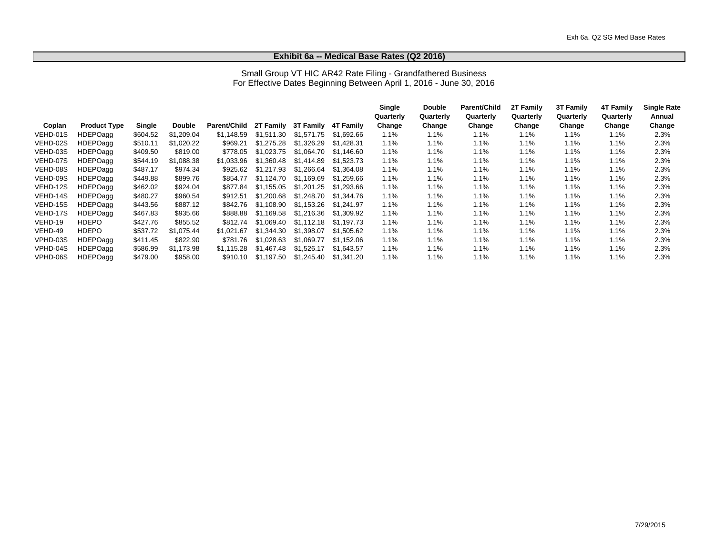#### **Exhibit 6a -- Medical Base Rates (Q2 2016)**

#### Small Group VT HIC AR42 Rate Filing - Grandfathered Business For Effective Dates Beginning Between April 1, 2016 - June 30, 2016

|          |                     |          |               |              |            |                  |            | Single    | <b>Double</b> | <b>Parent/Child</b> | 2T Family | <b>3T Family</b> | <b>4T Family</b> | <b>Single Rate</b> |
|----------|---------------------|----------|---------------|--------------|------------|------------------|------------|-----------|---------------|---------------------|-----------|------------------|------------------|--------------------|
|          |                     |          |               |              |            |                  |            | Quarterly | Quarterly     | Quarterly           | Quarterly | Quarterly        | Quarterly        | Annual             |
| Coplan   | <b>Product Type</b> | Single   | <b>Double</b> | Parent/Child | 2T Family  | <b>3T Family</b> | 4T Family  | Change    | Change        | Change              | Change    | Change           | Change           | Change             |
| VEHD-01S | <b>HDEPOagg</b>     | \$604.52 | \$1.209.04    | \$1.148.59   | \$1.511.30 | \$1.571.75       | \$1.692.66 | $1.1\%$   | 1.1%          | 1.1%                | 1.1%      | 1.1%             | 1.1%             | 2.3%               |
| VEHD-02S | <b>HDEPOagg</b>     | \$510.11 | \$1,020.22    | \$969.21     | \$1.275.28 | \$1.326.29       | \$1,428.31 | 1.1%      | 1.1%          | 1.1%                | 1.1%      | 1.1%             | 1.1%             | 2.3%               |
| VEHD-03S | HDEPOagg            | \$409.50 | \$819.00      | \$778.05     | \$1.023.75 | \$1.064.70       | \$1,146.60 | 1.1%      | 1.1%          | 1.1%                | 1.1%      | 1.1%             | $1.1\%$          | 2.3%               |
| VEHD-07S | <b>HDEPOagg</b>     | \$544.19 | \$1,088.38    | \$1.033.96   | \$1.360.48 | \$1.414.89       | \$1.523.73 | 1.1%      | 1.1%          | 1.1%                | 1.1%      | 1.1%             | 1.1%             | 2.3%               |
| VEHD-08S | <b>HDEPOagg</b>     | \$487.17 | \$974.34      | \$925.62     | \$1,217.93 | \$1,266.64       | \$1,364.08 | 1.1%      | $1.1\%$       | 1.1%                | 1.1%      | 1.1%             | 1.1%             | 2.3%               |
| VEHD-09S | HDEPOagg            | \$449.88 | \$899.76      | \$854.77     | \$1.124.70 | \$1.169.69       | \$1.259.66 | 1.1%      | 1.1%          | 1.1%                | 1.1%      | 1.1%             | 1.1%             | 2.3%               |
| VEHD-12S | <b>HDEPOagg</b>     | \$462.02 | \$924.04      | \$877.84     | \$1.155.05 | \$1,201.25       | \$1.293.66 | 1.1%      | 1.1%          | 1.1%                | 1.1%      | 1.1%             | 1.1%             | 2.3%               |
| VEHD-14S | <b>HDEPOagg</b>     | \$480.27 | \$960.54      | \$912.51     | \$1,200.68 | \$1.248.70       | \$1.344.76 | 1.1%      | 1.1%          | 1.1%                | 1.1%      | 1.1%             | 1.1%             | 2.3%               |
| VEHD-15S | <b>HDEPOagg</b>     | \$443.56 | \$887.12      | \$842.76     | \$1.108.90 | \$1.153.26       | \$1.241.97 | 1.1%      | 1.1%          | 1.1%                | 1.1%      | 1.1%             | 1.1%             | 2.3%               |
| VEHD-17S | <b>HDEPOagg</b>     | \$467.83 | \$935.66      | \$888.88     | \$1.169.58 | \$1,216,36       | \$1,309.92 | 1.1%      | 1.1%          | 1.1%                | 1.1%      | $1.1\%$          | $1.1\%$          | 2.3%               |
| VEHD-19  | <b>HDEPO</b>        | \$427.76 | \$855.52      | \$812.74     | \$1.069.40 | \$1.112.18       | \$1.197.73 | 1.1%      | 1.1%          | 1.1%                | 1.1%      | 1.1%             | $1.1\%$          | 2.3%               |
| VEHD-49  | <b>HDEPO</b>        | \$537.72 | \$1.075.44    | \$1.021.67   | \$1.344.30 | \$1.398.07       | \$1.505.62 | 1.1%      | 1.1%          | 1.1%                | 1.1%      | $1.1\%$          | 1.1%             | 2.3%               |
| VPHD-03S | HDEPOagg            | \$411.45 | \$822.90      | \$781.76     | \$1.028.63 | \$1.069.77       | \$1.152.06 | 1.1%      | 1.1%          | 1.1%                | 1.1%      | 1.1%             | 1.1%             | 2.3%               |
| VPHD-04S | HDEPOagg            | \$586.99 | \$1,173.98    | \$1.115.28   | \$1.467.48 | \$1,526.17       | \$1,643.57 | 1.1%      | 1.1%          | 1.1%                | 1.1%      | 1.1%             | 1.1%             | 2.3%               |
| VPHD-06S | <b>HDEPOagg</b>     | \$479.00 | \$958.00      | \$910.10     | \$1.197.50 | \$1.245.40       | \$1,341.20 | 1.1%      | 1.1%          | 1.1%                | 1.1%      | 1.1%             | 1.1%             | 2.3%               |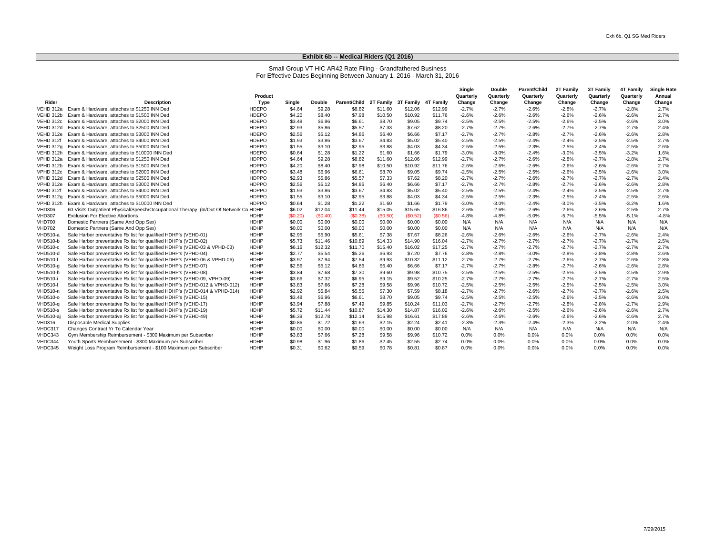#### **Exhibit 6b -- Medical Riders (Q1 2016)**

## Small Group VT HIC AR42 Rate Filing - Grandfathered Business For Effective Dates Beginning Between January 1, 2016 - March 31, 2016

|                 |                                                                                      |              |         |         |              |           |           |           | Single    | <b>Double</b> | Parent/Child | 2T Family | 3T Family | <b>4T Family</b> | <b>Single Rate</b> |
|-----------------|--------------------------------------------------------------------------------------|--------------|---------|---------|--------------|-----------|-----------|-----------|-----------|---------------|--------------|-----------|-----------|------------------|--------------------|
|                 |                                                                                      | Product      |         |         |              |           |           |           | Quarterly | Quarterly     | Quarterly    | Quarterly | Quarterly | Quarterly        | Annual             |
| Rider           | <b>Description</b>                                                                   | Type         | Single  | Double  | Parent/Child | 2T Family | 3T Family | 4T Family | Change    | Change        | Change       | Change    | Change    | Change           | Change             |
| VEHD 312a       | Exam & Hardware, attaches to \$1250 INN Ded                                          | <b>HDEPO</b> | \$4.64  | \$9.28  | \$8.82       | \$11.60   | \$12.06   | \$12.99   | $-2.7%$   | $-2.7\%$      | $-2.6%$      | $-2.8%$   | $-2.7%$   | $-2.8%$          | 2.7%               |
| VEHD 312b       | Exam & Hardware, attaches to \$1500 INN Ded                                          | <b>HDEPO</b> | \$4.20  | \$8.40  | \$7.98       | \$10.50   | \$10.92   | \$11.76   | $-2.6%$   | $-2.6%$       | $-2.6%$      | $-2.6%$   | $-2.6%$   | $-2.6%$          | 2.7%               |
| VEHD 312c       | Exam & Hardware, attaches to \$2000 INN Ded                                          | <b>HDEPO</b> | \$3.48  | \$6.96  | \$6.61       | \$8.70    | \$9.05    | \$9.74    | $-2.5%$   | $-2.5%$       | $-2.5%$      | $-2.6%$   | $-2.5%$   | $-2.6%$          | 3.0%               |
| VEHD 312d       | Exam & Hardware, attaches to \$2500 INN Ded                                          | <b>HDEPO</b> | \$2.93  | \$5.86  | \$5.57       | \$7.33    | \$7.62    | \$8.20    | $-2.7%$   | $-2.7%$       | $-2.6%$      | $-2.7%$   | $-2.7%$   | $-2.7%$          | 2.4%               |
| VEHD 312e       | Exam & Hardware, attaches to \$3000 INN Ded                                          | <b>HDEPO</b> | \$2.56  | \$5.12  | \$4.86       | \$6.40    | \$6.66    | \$7.17    | $-2.7%$   | $-2.7%$       | $-2.8%$      | $-2.7%$   | $-2.6%$   | $-2.6%$          | 2.8%               |
| VEHD 312f       | Exam & Hardware, attaches to \$4000 INN Ded                                          | <b>HDEPO</b> | \$1.93  | \$3.86  | \$3.67       | \$4.83    | \$5.02    | \$5.40    | $-2.5%$   | $-2.5%$       | $-2.4%$      | $-2.4%$   | $-2.5%$   | $-2.5%$          | 2.7%               |
| VEHD 312g       | Exam & Hardware, attaches to \$5000 INN Ded                                          | <b>HDEPO</b> | \$1.55  | \$3.10  | \$2.95       | \$3.88    | \$4.03    | \$4.34    | $-2.5%$   | $-2.5%$       | $-2.3%$      | $-2.5%$   | $-2.4%$   | $-2.5%$          | 2.6%               |
| VEHD 312h       | Exam & Hardware, attaches to \$10000 INN Ded                                         | <b>HDEPO</b> | \$0.64  | \$1.28  | \$1.22       | \$1.60    | \$1.66    | \$1.79    | $-3.0%$   | $-3.0%$       | $-2.4%$      | $-3.0%$   | $-3.5%$   | $-3.2%$          | 1.6%               |
| VPHD 312a       | Exam & Hardware, attaches to \$1250 INN Ded                                          | <b>HDPPO</b> | \$4.64  | \$9.28  | \$8.82       | \$11.60   | \$12.06   | \$12.99   | $-2.7%$   | $-2.7%$       | $-2.6%$      | $-2.8%$   | $-2.7%$   | $-2.8%$          | 2.7%               |
| VPHD 312b       | Exam & Hardware, attaches to \$1500 INN Ded                                          | <b>HDPPO</b> | \$4.20  | \$8.40  | \$7.98       | \$10.50   | \$10.92   | \$11.76   | $-2.6%$   | $-2.6%$       | $-2.6%$      | $-2.6%$   | $-2.6%$   | $-2.6%$          | 2.7%               |
| VPHD 312c       | Exam & Hardware, attaches to \$2000 INN Ded                                          | <b>HDPPO</b> | \$3.48  | \$6.96  | \$6.61       | \$8.70    | \$9.05    | \$9.74    | $-2.5%$   | $-2.5%$       | $-2.5%$      | $-2.6%$   | $-2.5%$   | $-2.6%$          | 3.0%               |
| VPHD 312d       | Exam & Hardware, attaches to \$2500 INN Ded                                          | <b>HDPPO</b> | \$2.93  | \$5.86  | \$5.57       | \$7.33    | \$7.62    | \$8.20    | $-2.7%$   | $-2.7%$       | $-2.6%$      | $-2.7%$   | $-2.7%$   | $-2.7%$          | 2.4%               |
| VPHD 312e       | Exam & Hardware, attaches to \$3000 INN Ded                                          | <b>HDPPO</b> | \$2.56  | \$5.12  | \$4.86       | \$6.40    | \$6.66    | \$7.17    | $-2.7%$   | $-2.7%$       | $-2.8%$      | $-2.7%$   | $-2.6%$   | $-2.6%$          | 2.8%               |
| VPHD 312f       | Exam & Hardware, attaches to \$4000 INN Ded                                          | <b>HDPPO</b> | \$1.93  | \$3.86  | \$3.67       | \$4.83    | \$5.02    | \$5.40    | $-2.5%$   | $-2.5%$       | $-2.4%$      | $-2.4%$   | $-2.5%$   | $-2.5%$          | 2.7%               |
| VPHD 312a       | Exam & Hardware, attaches to \$5000 INN Ded                                          | <b>HDPPO</b> | \$1.55  | \$3.10  | \$2.95       | \$3.88    | \$4.03    | \$4.34    | $-2.5%$   | $-2.5%$       | $-2.3%$      | $-2.5%$   | $-2.4%$   | $-2.5%$          | 2.6%               |
| VPHD 312h       | Exam & Hardware, attaches to \$10000 INN Ded                                         | HDPPO        | \$0.64  | \$1.28  | \$1.22       | \$1.60    | \$1.66    | \$1.79    | $-3.0%$   | $-3.0%$       | $-2.4%$      | $-3.0%$   | $-3.5%$   | $-3.2%$          | 1.6%               |
| <b>VHD306</b>   | 60 Visits Outpatient Physical/Speech/Occupational Therapy (In/Out Of Network Co HDHP |              | \$6.02  | \$12.04 | \$11.44      | \$15.05   | \$15.65   | \$16.86   | $-2.6%$   | $-2.6%$       | $-2.6%$      | $-2.6%$   | $-2.6%$   | $-2.5%$          | 2.7%               |
| <b>VHD307</b>   | <b>Exclusion For Elective Abortions</b>                                              | <b>HDHP</b>  | (S0.20) | (S0.40) | (S0.38)      | (S0.50)   | (S0.52)   | (S0.56)   | $-4.8%$   | $-4.8%$       | $-5.0%$      | $-5.7\%$  | $-5.5%$   | $-5.1%$          | $-4.8%$            |
| <b>VHD700</b>   | Domestic Partners (Same And Opp Sex)                                                 | <b>HDHP</b>  | \$0.00  | \$0.00  | \$0.00       | \$0.00    | \$0.00    | \$0.00    | N/A       | N/A           | N/A          | N/A       | N/A       | N/A              | N/A                |
| <b>VHD702</b>   | Domestic Partners (Same And Opp Sex)                                                 | <b>HDHP</b>  | \$0.00  | \$0.00  | \$0.00       | \$0.00    | \$0.00    | \$0.00    | N/A       | N/A           | N/A          | N/A       | N/A       | N/A              | N/A                |
| <b>VHD510-a</b> | Safe Harbor preventative Rx list for qualified HDHP's (VEHD-01)                      | <b>HDHP</b>  | \$2.95  | \$5.90  | \$5.61       | \$7.38    | \$7.67    | \$8.26    | $-2.6%$   | $-2.6%$       | $-2.6%$      | $-2.6%$   | $-2.7%$   | $-2.6%$          | 2.4%               |
| <b>VHD510-b</b> | Safe Harbor preventative Rx list for qualified HDHP's (VEHD-02)                      | <b>HDHP</b>  | \$5.73  | \$11.46 | \$10.89      | \$14.33   | \$14.90   | \$16.04   | $-2.7%$   | $-2.7%$       | $-2.7%$      | $-2.7%$   | $-2.7%$   | $-2.7%$          | 2.5%               |
| <b>VHD510-c</b> | Safe Harbor preventative Rx list for qualified HDHP's (VEHD-03 & VPHD-03)            | <b>HDHP</b>  | \$6.16  | \$12.32 | \$11.70      | \$15.40   | \$16.02   | \$17.25   | $-2.7%$   | $-2.7%$       | $-2.7%$      | $-2.7%$   | $-2.7%$   | $-2.7%$          | 2.7%               |
| VHD510-d        | Safe Harbor preventative Rx list for qualified HDHP's (VPHD-04)                      | <b>HDHP</b>  | \$2.77  | \$5.54  | \$5.26       | \$6.93    | \$7.20    | \$7.76    | $-2.8%$   | $-2.8%$       | $-3.0%$      | $-2.8%$   | $-2.8%$   | $-2.8%$          | 2.6%               |
| <b>VHD510-f</b> | Safe Harbor preventative Rx list for qualified HDHP's (VEHD-06 & VPHD-06)            | <b>HDHP</b>  | \$3.97  | \$7.94  | \$7.54       | \$9.93    | \$10.32   | \$11.12   | $-2.7%$   | $-2.7%$       | $-2.7%$      | $-2.6%$   | $-2.7%$   | $-2.6%$          | 2.8%               |
| VHD510-g        | Safe Harbor preventative Rx list for qualified HDHP's (VEHD-07)                      | <b>HDHP</b>  | \$2.56  | \$5.12  | \$4.86       | \$6.40    | \$6.66    | \$7.17    | $-2.7%$   | $-2.7%$       | $-2.8%$      | $-2.7%$   | $-2.6%$   | $-2.6%$          | 2.8%               |
| VHD510-h        | Safe Harbor preventative Rx list for qualified HDHP's (VEHD-08)                      | <b>HDHP</b>  | \$3.84  | \$7.68  | \$7.30       | \$9.60    | \$9.98    | \$10.75   | $-2.5%$   | $-2.5%$       | $-2.5%$      | $-2.5%$   | $-2.5%$   | $-2.5%$          | 2.9%               |
| VHD510-i        | Safe Harbor preventative Rx list for qualified HDHP's (VEHD-09, VPHD-09)             | <b>HDHP</b>  | \$3.66  | \$7.32  | \$6.95       | \$9.15    | \$9.52    | \$10.25   | $-2.7%$   | $-2.7%$       | $-2.7%$      | $-2.7%$   | $-2.7%$   | $-2.7%$          | 2.5%               |
| <b>VHD510-I</b> | Safe Harbor preventative Rx list for qualified HDHP's (VEHD-012 & VPHD-012)          | <b>HDHP</b>  | \$3.83  | \$7.66  | \$7.28       | \$9.58    | \$9.96    | \$10.72   | $-2.5%$   | $-2.5%$       | $-2.5%$      | $-2.5%$   | $-2.5%$   | $-2.5%$          | 3.0%               |
| VHD510-n        | Safe Harbor preventative Rx list for qualified HDHP's (VEHD-014 & VPHD-014)          | <b>HDHP</b>  | \$2.92  | \$5.84  | \$5.55       | \$7.30    | \$7.59    | \$8.18    | $-2.7%$   | $-2.7%$       | $-2.6%$      | $-2.7%$   | $-2.7%$   | $-2.6%$          | 2.5%               |
| VHD510-0        | Safe Harbor preventative Rx list for qualified HDHP's (VEHD-15)                      | <b>HDHP</b>  | \$3.48  | \$6.96  | \$6.61       | \$8.70    | \$9.05    | \$9.74    | $-2.5%$   | $-2.5%$       | $-2.5%$      | $-2.6%$   | $-2.5%$   | $-2.6%$          | 3.0%               |
| VHD510-a        | Safe Harbor preventative Rx list for qualified HDHP's (VEHD-17)                      | <b>HDHP</b>  | \$3.94  | \$7.88  | \$7.49       | \$9.85    | \$10.24   | \$11.03   | $-2.7%$   | $-2.7%$       | $-2.7%$      | $-2.8%$   | $-2.8%$   | $-2.7%$          | 2.9%               |
| <b>VHD510-s</b> | Safe Harbor preventative Rx list for qualified HDHP's (VEHD-19)                      | <b>HDHP</b>  | \$5.72  | \$11.44 | \$10.87      | \$14.30   | \$14.87   | \$16.02   | $-2.6%$   | $-2.6%$       | $-2.5%$      | $-2.6%$   | $-2.6%$   | $-2.6%$          | 2.7%               |
| VHD510-aj       | Safe Harbor preventative Rx list for qualified HDHP's (VEHD-49)                      | <b>HDHP</b>  | \$6.39  | \$12.78 | \$12.14      | \$15.98   | \$16.61   | \$17.89   | $-2.6%$   | $-2.6%$       | $-2.6%$      | $-2.6%$   | $-2.6%$   | $-2.6%$          | 2.7%               |
| <b>VHD316</b>   | <b>Disposable Medical Supplies</b>                                                   | <b>HDHP</b>  | \$0.86  | \$1.72  | \$1.63       | \$2.15    | \$2.24    | \$2.41    | $-2.3%$   | $-2.3%$       | $-2.4%$      | $-2.3%$   | $-2.2%$   | $-2.0%$          | 2.4%               |
| VHDC317         | Changes Contract Yr To Calendar Year                                                 | <b>HDHP</b>  | \$0.00  | \$0.00  | \$0.00       | \$0.00    | \$0.00    | \$0.00    | N/A       | N/A           | N/A          | N/A       | N/A       | N/A              | N/A                |
| VHDC343         | Gym Membership Reimbursement - \$300 Maximum per Subscriber                          | <b>HDHP</b>  | \$3.83  | \$7.66  | \$7.28       | \$9.58    | \$9.96    | \$10.72   | 0.0%      | 0.0%          | 0.0%         | 0.0%      | 0.0%      | 0.0%             | 0.0%               |
| VHDC344         | Youth Sports Reimbursement - \$300 Maximum per Subscriber                            | <b>HDHP</b>  | \$0.98  | \$1.96  | \$1.86       | \$2.45    | \$2.55    | \$2.74    | 0.0%      | 0.0%          | 0.0%         | 0.0%      | 0.0%      | 0.0%             | 0.0%               |
| VHDC345         | Weight Loss Program Reimbursement - \$100 Maximum per Subscriber                     | <b>HDHP</b>  | \$0.31  | \$0.62  | \$0.59       | \$0.78    | \$0.81    | \$0.87    | 0.0%      | 0.0%          | 0.0%         | 0.0%      | 0.0%      | 0.0%             | 0.0%               |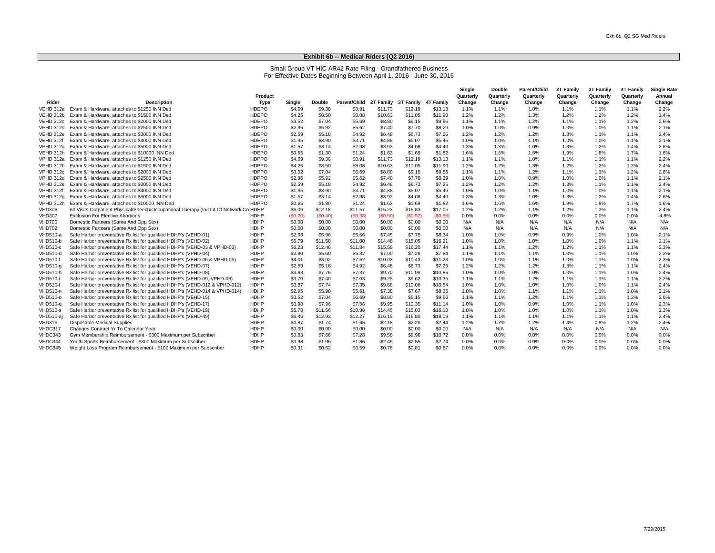#### **Exhibit 6b -- Medical Riders (Q2 2016)**

Small Group VT HIC AR42 Rate Filing - Grandfathered Business For Effective Dates Beginning Between April 1, 2016 - June 30, 2016

|                 |                                                                                      | Product      |         |               |              |                               |         |          | Single<br>Quarterly | <b>Double</b><br>Quarterly | Parent/Child<br>Quarterly | 2T Family<br>Quarterly | <b>3T Family</b><br>Quarterly | <b>4T Family</b><br>Quarterly | <b>Single Rate</b><br>Annual |
|-----------------|--------------------------------------------------------------------------------------|--------------|---------|---------------|--------------|-------------------------------|---------|----------|---------------------|----------------------------|---------------------------|------------------------|-------------------------------|-------------------------------|------------------------------|
| Rider           | <b>Description</b>                                                                   | Type         | Single  | <b>Double</b> | Parent/Child | 2T Family 3T Family 4T Family |         |          | Change              | Change                     | Change                    | Change                 | Change                        | Change                        | Change                       |
| VEHD 312a       | Exam & Hardware, attaches to \$1250 INN Ded                                          | <b>HDEPO</b> | \$4.69  | \$9.38        | \$8.91       | \$11.73                       | \$12.19 | \$13.13  | 1.1%                | 1.1%                       | 1.0%                      | 1.1%                   | 1.1%                          | 1.1%                          | 2.2%                         |
| VEHD 312b       | Exam & Hardware, attaches to \$1500 INN Ded                                          | <b>HDEPO</b> | \$4.25  | \$8.50        | \$8.08       | \$10.63                       | \$11.05 | \$11.90  | 1.2%                | 1.2%                       | 1.3%                      | 1.2%                   | 1.2%                          | 1.2%                          | 2.4%                         |
| VEHD 312c       | Exam & Hardware, attaches to \$2000 INN Ded                                          | <b>HDEPO</b> | \$3.52  | \$7.04        | \$6.69       | \$8.80                        | \$9.15  | \$9.86   | 1.1%                | 1.1%                       | 1.2%                      | 1.1%                   | 1.1%                          | 1.2%                          | 2.6%                         |
| VEHD 312d       | Exam & Hardware, attaches to \$2500 INN Ded                                          | <b>HDEPO</b> | \$2.96  | \$5.92        | \$5.62       | \$7.40                        | \$7.70  | \$8.29   | 1.0%                | 1.0%                       | 0.9%                      | 1.0%                   | 1.0%                          | 1.1%                          | 2.1%                         |
| VEHD 312e       | Exam & Hardware, attaches to \$3000 INN Ded                                          | <b>HDEPO</b> | \$2.59  | \$5.18        | \$4.92       | \$6.48                        | \$6.73  | \$7.25   | 1.2%                | 1.2%                       | 1.2%                      | 1.3%                   | 1.1%                          | 1.1%                          | 2.4%                         |
| VEHD 312f       | Exam & Hardware, attaches to \$4000 INN Ded                                          | <b>HDEPO</b> | \$1.95  | \$3.90        | \$3.71       | \$4.88                        | \$5.07  | \$5.46   | 1.0%                | 1.0%                       | 1.1%                      | 1.0%                   | 1.0%                          | 1.1%                          | 2.1%                         |
| VEHD 312g       | Exam & Hardware, attaches to \$5000 INN Ded                                          | <b>HDEPO</b> | \$1.57  | \$3.14        | \$2.98       | \$3.93                        | \$4.08  | \$4.40   | 1.3%                | 1.3%                       | 1.0%                      | 1.3%                   | 1.2%                          | 1.4%                          | 2.6%                         |
| VEHD 312h       | Exam & Hardware, attaches to \$10000 INN Ded                                         | <b>HDEPO</b> | \$0.65  | \$1.30        | \$1.24       | \$1.63                        | \$1.69  | \$1.82   | 1.6%                | 1.6%                       | 1.6%                      | 1.9%                   | 1.8%                          | 1.7%                          | 1.6%                         |
| VPHD 312a       | Exam & Hardware, attaches to \$1250 INN Ded                                          | <b>HDPPO</b> | \$4.69  | \$9.38        | \$8.91       | \$11.73                       | \$12.19 | \$13.13  | 1.1%                | 1.1%                       | 1.0%                      | 1.1%                   | 1.1%                          | 1.1%                          | 2.2%                         |
| VPHD 312b       | Exam & Hardware, attaches to \$1500 INN Ded                                          | <b>HDPPO</b> | \$4.25  | \$8.50        | \$8.08       | \$10.63                       | \$11.05 | \$11.90  | 1.2%                | 1.2%                       | 1.3%                      | 1.2%                   | 1.2%                          | 1.2%                          | 2.4%                         |
| VPHD 312c       | Exam & Hardware, attaches to \$2000 INN Ded                                          | <b>HDPPO</b> | \$3.52  | \$7.04        | \$6.69       | \$8.80                        | \$9.15  | \$9.86   | 1.1%                | 1.1%                       | 1.2%                      | 1.1%                   | 1.1%                          | 1.2%                          | 2.6%                         |
| VPHD 312d       | Exam & Hardware, attaches to \$2500 INN Ded                                          | <b>HDPPO</b> | \$2.96  | \$5.92        | \$5.62       | \$7.40                        | \$7.70  | \$8.29   | 1.0%                | 1.0%                       | 0.9%                      | 1.0%                   | 1.0%                          | 1.1%                          | 2.1%                         |
| VPHD 312e       | Exam & Hardware, attaches to \$3000 INN Ded                                          | <b>HDPPO</b> | \$2.59  | \$5.18        | \$4.92       | \$6.48                        | \$6.73  | \$7.25   | 1.2%                | 1.2%                       | 1.2%                      | 1.3%                   | 1.1%                          | 1.1%                          | 2.4%                         |
| VPHD 312f       | Exam & Hardware, attaches to \$4000 INN Ded                                          | <b>HDPPO</b> | \$1.95  | \$3.90        | \$3.71       | \$4.88                        | \$5.07  | \$5.46   | 1.0%                | 1.0%                       | 1.1%                      | 1.0%                   | 1.0%                          | 1.1%                          | 2.1%                         |
| VPHD 312a       | Exam & Hardware, attaches to \$5000 INN Ded                                          | <b>HDPPO</b> | \$1.57  | \$3.14        | \$2.98       | \$3.93                        | \$4.08  | \$4.40   | 1.3%                | 1.3%                       | 1.0%                      | 1.3%                   | 1.2%                          | 1.4%                          | 2.6%                         |
| VPHD 312h       | Exam & Hardware, attaches to \$10000 INN Ded                                         | <b>HDPPO</b> | \$0.65  | \$1.30        | \$1.24       | \$1.63                        | \$1.69  | \$1.82   | 1.6%                | 1.6%                       | 1.6%                      | 1.9%                   | 1.8%                          | 1.7%                          | 1.6%                         |
| <b>VHD306</b>   | 60 Visits Outpatient Physical/Speech/Occupational Therapy (In/Out Of Network Co HDHP |              | \$6.09  | \$12.18       | \$11.57      | \$15.23                       | \$15.83 | \$17.05  | 1.2%                | 1.2%                       | 1.1%                      | 1.2%                   | 1.2%                          | 1.1%                          | 2.4%                         |
| <b>VHD307</b>   | <b>Exclusion For Elective Abortions</b>                                              | <b>HDHP</b>  | (S0.20) | (S0.40)       | (S0.38)      | (S0.50)                       | (S0.52) | (\$0.56) | 0.0%                | 0.0%                       | 0.0%                      | 0.0%                   | 0.0%                          | 0.0%                          | $-4.8%$                      |
| <b>VHD700</b>   | Domestic Partners (Same And Opp Sex)                                                 | <b>HDHP</b>  | \$0.00  | \$0.00        | \$0.00       | \$0.00                        | \$0.00  | \$0.00   | N/A                 | N/A                        | N/A                       | N/A                    | N/A                           | N/A                           | N/A                          |
| <b>VHD702</b>   | Domestic Partners (Same And Opp Sex)                                                 | <b>HDHP</b>  | \$0.00  | \$0.00        | \$0.00       | \$0.00                        | \$0.00  | \$0.00   | N/A                 | N/A                        | N/A                       | N/A                    | N/A                           | N/A                           | N/A                          |
| VHD510-a        | Safe Harbor preventative Rx list for qualified HDHP's (VEHD-01)                      | <b>HDHP</b>  | \$2.98  | \$5.96        | \$5.66       | \$7.45                        | \$7.75  | \$8.34   | 1.0%                | 1.0%                       | 0.9%                      | 0.9%                   | 1.0%                          | 1.0%                          | 2.1%                         |
| VHD510-b        | Safe Harbor preventative Rx list for qualified HDHP's (VEHD-02)                      | <b>HDHP</b>  | \$5.79  | \$11.58       | \$11.00      | \$14.48                       | \$15.05 | \$16.21  | 1.0%                | 1.0%                       | 1.0%                      | 1.0%                   | 1.0%                          | 1.1%                          | 2.1%                         |
| VHD510-c        | Safe Harbor preventative Rx list for qualified HDHP's (VEHD-03 & VPHD-03)            | <b>HDHP</b>  | \$6.23  | \$12.46       | \$11.84      | \$15.58                       | \$16.20 | \$17.44  | 1.1%                | 1.1%                       | 1.2%                      | 1.2%                   | 1.1%                          | 1.1%                          | 2.3%                         |
| VHD510-d        | Safe Harbor preventative Rx list for qualified HDHP's (VPHD-04)                      | <b>HDHP</b>  | \$2.80  | \$5.60        | \$5.32       | \$7.00                        | \$7.28  | \$7.84   | 1.1%                | 1.1%                       | 1.1%                      | 1.0%                   | 1.1%                          | 1.0%                          | 2.2%                         |
| <b>VHD510-f</b> | Safe Harbor preventative Rx list for qualified HDHP's (VEHD-06 & VPHD-06)            | <b>HDHP</b>  | \$4.01  | \$8.02        | \$7.62       | \$10.03                       | \$10.43 | \$11.23  | 1.0%                | 1.0%                       | 1.1%                      | 1.0%                   | 1.1%                          | 1.0%                          | 2.3%                         |
| VHD510-g        | Safe Harbor preventative Rx list for qualified HDHP's (VEHD-07)                      | <b>HDHP</b>  | \$2.59  | \$5.18        | \$4.92       | \$6.48                        | \$6.73  | \$7.25   | 1.2%                | 1.2%                       | 1.2%                      | 1.3%                   | 1.1%                          | 1.1%                          | 2.4%                         |
| VHD510-h        | Safe Harbor preventative Rx list for qualified HDHP's (VEHD-08)                      | <b>HDHP</b>  | \$3.88  | \$7.76        | \$7.37       | \$9.70                        | \$10.09 | \$10.86  | 1.0%                | 1.0%                       | 1.0%                      | 1.0%                   | 1.1%                          | 1.0%                          | 2.4%                         |
| VHD510-i        | Safe Harbor preventative Rx list for qualified HDHP's (VEHD-09, VPHD-09)             | <b>HDHP</b>  | \$3.70  | \$7.40        | \$7.03       | \$9.25                        | \$9.62  | \$10.36  | 1.1%                | 1.1%                       | 1.2%                      | 1.1%                   | 1.1%                          | 1.1%                          | 2.2%                         |
| <b>VHD510-I</b> | Safe Harbor preventative Rx list for qualified HDHP's (VEHD-012 & VPHD-012)          | <b>HDHP</b>  | \$3.87  | \$7.74        | \$7.35       | \$9.68                        | \$10.06 | \$10.84  | 1.0%                | 1.0%                       | 1.0%                      | 1.0%                   | 1.0%                          | 1.1%                          | 2.4%                         |
| VHD510-n        | Safe Harbor preventative Rx list for qualified HDHP's (VEHD-014 & VPHD-014)          | <b>HDHP</b>  | \$2.95  | \$5.90        | \$5.61       | \$7.38                        | \$7.67  | \$8.26   | 1.0%                | 1.0%                       | 1.1%                      | 1.1%                   | 1.1%                          | 1.0%                          | 2.1%                         |
| VHD510-0        | Safe Harbor preventative Rx list for qualified HDHP's (VEHD-15)                      | <b>HDHP</b>  | \$3.52  | \$7.04        | \$6.69       | \$8.80                        | \$9.15  | \$9.86   | 1.1%                | 1.1%                       | 1.2%                      | 1.1%                   | 1.1%                          | 1.2%                          | 2.6%                         |
| VHD510-g        | Safe Harbor preventative Rx list for qualified HDHP's (VEHD-17)                      | <b>HDHP</b>  | \$3.98  | \$7.96        | \$7.56       | \$9.95                        | \$10.35 | \$11.14  | 1.0%                | 1.0%                       | 0.9%                      | 1.0%                   | 1.1%                          | 1.0%                          | 2.3%                         |
| <b>VHD510-s</b> | Safe Harbor preventative Rx list for qualified HDHP's (VEHD-19)                      | <b>HDHP</b>  | \$5.78  | \$11.56       | \$10.98      | \$14.45                       | \$15.03 | \$16.18  | 1.0%                | 1.0%                       | 1.0%                      | 1.0%                   | 1.1%                          | 1.0%                          | 2.3%                         |
| VHD510-aj       | Safe Harbor preventative Rx list for qualified HDHP's (VEHD-49)                      | <b>HDHP</b>  | \$6.46  | \$12.92       | \$12.27      | \$16.15                       | \$16.80 | \$18.09  | 1.1%                | 1.1%                       | 1.1%                      | 1.1%                   | 1.1%                          | 1.1%                          | 2.4%                         |
| <b>VHD316</b>   | <b>Disposable Medical Supplies</b>                                                   | <b>HDHP</b>  | \$0.87  | \$1.74        | \$1.65       | \$2.18                        | \$2.26  | \$2.44   | 1.2%                | 1.2%                       | 1.2%                      | 1.4%                   | 0.9%                          | 1.2%                          | 2.4%                         |
| VHDC317         | Changes Contract Yr To Calendar Year                                                 | <b>HDHP</b>  | \$0.00  | \$0.00        | \$0.00       | \$0.00                        | \$0.00  | \$0.00   | N/A                 | N/A                        | N/A                       | N/A                    | N/A                           | N/A                           | N/A                          |
| VHDC343         | Gym Membership Reimbursement - \$300 Maximum per Subscriber                          | <b>HDHP</b>  | \$3.83  | \$7.66        | \$7.28       | \$9.58                        | \$9.96  | \$10.72  | 0.0%                | 0.0%                       | 0.0%                      | 0.0%                   | 0.0%                          | $0.0\%$                       | 0.0%                         |
| VHDC344         | Youth Sports Reimbursement - \$300 Maximum per Subscriber                            | <b>HDHP</b>  | \$0.98  | \$1.96        | \$1.86       | \$2.45                        | \$2.55  | \$2.74   | 0.0%                | 0.0%                       | 0.0%                      | 0.0%                   | 0.0%                          | 0.0%                          | 0.0%                         |
| VHDC345         | Weight Loss Program Reimbursement - \$100 Maximum per Subscriber                     | <b>HDHP</b>  | \$0.31  | \$0.62        | \$0.59       | \$0.78                        | \$0.81  | \$0.87   | 0.0%                | 0.0%                       | 0.0%                      | 0.0%                   | 0.0%                          | 0.0%                          | 0.0%                         |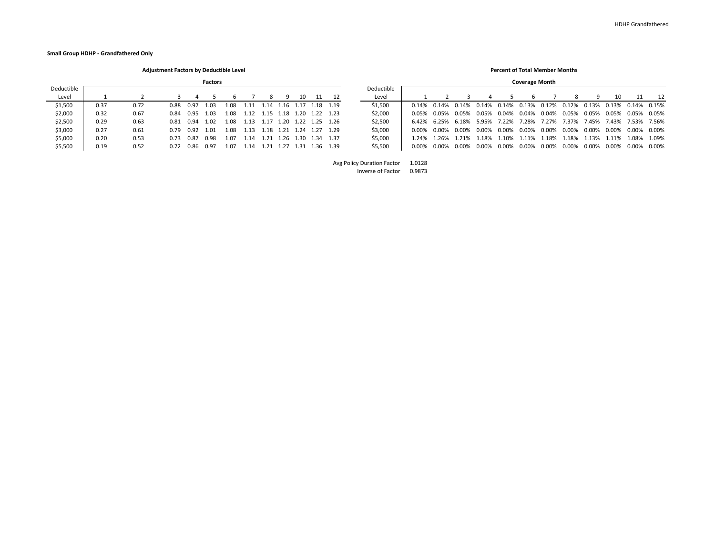**Small Group HDHP - Grandfathered Only**

**Adjustment Factors by Deductible Level Percent of Total Member Months**

|            | <b>Factors</b> |      |           |           |      |      |      |                |           |     |                          |            |       |       |       | <b>Coverage Month</b> |       |       |       |          |       |       |             |          |
|------------|----------------|------|-----------|-----------|------|------|------|----------------|-----------|-----|--------------------------|------------|-------|-------|-------|-----------------------|-------|-------|-------|----------|-------|-------|-------------|----------|
| Deductible |                |      |           |           |      |      |      |                |           |     |                          | Deductible |       |       |       |                       |       |       |       |          |       |       |             |          |
| Level      |                |      |           |           |      |      |      |                |           | 10. |                          | Level      |       |       |       |                       |       |       |       |          |       | 10    |             | 12       |
| \$1,500    | 0.37           | 0.72 | 0.88      | 0.97      | 1.03 | 1.08 | 1.11 | 1.14           |           |     | 1.16 1.17 1.18 1.19      | \$1,500    | 0.14% | 0.14% | 0.14% | 0.14%                 | 0.14% | 0.13% | 0.12% | 0.12%    | 0.13% | 0.13% | 0.14%       | 0.15%    |
| \$2,000    | 0.32           | 0.67 | 0.84      | 0.95      | 1.03 | 1.08 | 1.12 |                |           |     |                          | \$2,000    | 0.05% | 0.05% | 0.05% | 0.05%                 | 0.04% | 0.04% | 0.04% | 0.05%    | 0.05% | 0.05% | 0.05%       | 0.05%    |
| \$2,500    | 0.29           | 0.63 |           | 0.81 0.94 | 1.02 | 1.08 | 1.13 |                |           |     | 1.17 1.20 1.22 1.25 1.26 | \$2,500    | 6.42% | 6.25% | 6 18% | 5.95%                 | 7.22% | '.28% | 7.27% | 7.37%    | 7.45% | 7.43% | 7.53% 7.56% |          |
| \$3,000    | 0.27           | 0.61 |           | 0.79 0.92 | 1.01 | 1.08 | 1.13 |                | 1.18 1.21 |     | 1.24 1.27 1.29           | \$3,000    | 0.00% | 0.00% | 0.00% | 0.00%                 | 0.00% | 0.00% | 0.00% | $0.00\%$ | 0.00% | 0.00% | 0.00%       | $0.00\%$ |
| \$5,000    | 0.20           | 0.53 | 0.73 0.87 |           | 0.98 | 1.07 | 1.14 | $1.21 \quad 1$ |           |     | 1.26 1.30 1.34 1.37      | \$5,000    | L.24% | 1.26% | 1.21% | .18%                  | 1.10% | .11%  | 1.18% | 1.18%    | 1.13% | 1.11% | 1.08%       | 1.09%    |
| \$5,500    | 0.19           | 0.52 | 0. 72     | - 0.86    | 0.97 | 1.07 | 1.14 | .21            | .27       |     | 1.31 1.36 1.39           | \$5,500    | 0.00% | 0.00% | 0.00% | 0.00%                 | 0.00% | 0.00% | 0.00% | 0.00%    | 0.00% | 0.00% | 0.00%       | 0.00%    |

|            |       |                 |                                                                                                    |       |       | <b>COVETABE IVIOITLII</b> |                                     |       |                   |       |             |       |
|------------|-------|-----------------|----------------------------------------------------------------------------------------------------|-------|-------|---------------------------|-------------------------------------|-------|-------------------|-------|-------------|-------|
| Deductible |       |                 |                                                                                                    |       |       |                           |                                     |       |                   |       |             |       |
| Level      |       |                 |                                                                                                    | 4     | .5.   | 6                         |                                     | -8    | 9                 | 10    | 11          | -12   |
| \$1.500    | በ 14% |                 | $0.14\%$ $0.14\%$ $0.14\%$ $0.14\%$ $0.13\%$ $0.12\%$ $0.12\%$ $0.13\%$ $0.13\%$ $0.14\%$ $0.15\%$ |       |       |                           |                                     |       |                   |       |             |       |
| \$2.000    | 0.05% | <u>በ በ5% - </u> | 0.05%                                                                                              | 0.05% |       | 0.04% 0.04% 0.04%         |                                     |       | 0.05% 0.05% 0.05% |       | 0.05% 0.05% |       |
| \$2.500    |       |                 | 6.42% 6.25% 6.18% 5.95% 7.22% 7.28% 7.27% 7.37% 7.45% 7.43% 7.53% 7.56%                            |       |       |                           |                                     |       |                   |       |             |       |
| \$3,000    | 0.00% | <u>በ በበ% </u>   | 0.00%                                                                                              | 0.00% |       | 0.00% 0.00% 0.00%         |                                     | 0.00% | 0.00%             | 0.00% | 0.00%       | 0.00% |
| \$5,000    | 1 24% |                 | 1 26% 1 21%                                                                                        |       |       |                           | 1.18% 1.10% 1.11% 1.18% 1.18% 1.13% |       |                   | 1.11% | 1 08% 1 09% |       |
| \$5.500    | 0.00% | <u>በ በበ% </u>   | 0.00%                                                                                              | 0.00% | 0.00% | $0.00\%$                  | 0.00%                               | 0.00% | 0.00%             | 0.00% | 0.00%       | 0.00% |

Avg Policy Duration Factor 1.0128 Inverse of Factor 0.9873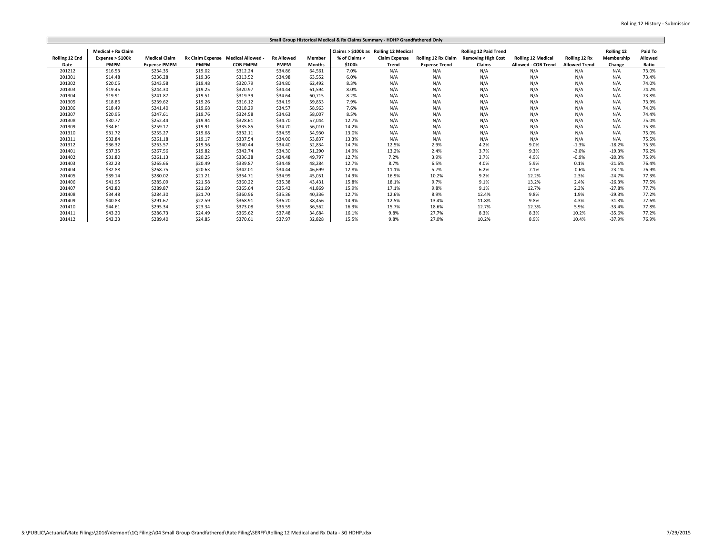|                |                    |                      |                                  |                 |                   |               | Small Group Historical Medical & Rx Claims Summary - HDHP Grandfathered Only |                      |                      |                              |                           |                      |            |         |
|----------------|--------------------|----------------------|----------------------------------|-----------------|-------------------|---------------|------------------------------------------------------------------------------|----------------------|----------------------|------------------------------|---------------------------|----------------------|------------|---------|
|                | Medical + Rx Claim |                      |                                  |                 |                   |               | Claims > \$100k as Rolling 12 Medical                                        |                      |                      | <b>Rolling 12 Paid Trend</b> |                           |                      | Rolling 12 | Paid To |
| Rolling 12 End | Expense > \$100k   | <b>Medical Claim</b> | Rx Claim Expense Medical Allowed |                 | <b>Rx Allowed</b> | <b>Member</b> | % of Claims <                                                                | <b>Claim Expense</b> | Rolling 12 Rx Claim  | <b>Removing High Cost</b>    | <b>Rolling 12 Medical</b> | Rolling 12 Rx        | Membership | Allowed |
| Date           | <b>PMPM</b>        | <b>Expense PMPM</b>  | <b>PMPM</b>                      | <b>COB PMPM</b> | <b>PMPM</b>       | <b>Months</b> | \$100k                                                                       | <b>Trend</b>         | <b>Expense Trend</b> | <b>Claims</b>                | Allowed - COB Trend       | <b>Allowed Trend</b> | Change     | Ratio   |
| 201212         | \$16.53            | \$234.35             | \$19.02                          | \$312.24        | \$34.86           | 64,561        | 7.0%                                                                         | N/A                  | N/A                  | N/A                          | N/A                       | N/A                  | N/A        | 73.0%   |
| 201301         | \$14.48            | \$236.28             | \$19.36                          | \$313.52        | \$34.98           | 63,552        | 6.0%                                                                         | N/A                  | N/A                  | N/A                          | N/A                       | N/A                  | N/A        | 73.4%   |
| 201302         | \$20.05            | \$243.58             | \$19.48                          | \$320.79        | \$34.80           | 62,492        | 8.3%                                                                         | N/A                  | N/A                  | N/A                          | N/A                       | N/A                  | N/A        | 74.0%   |
| 201303         | \$19.45            | \$244.30             | \$19.25                          | \$320.97        | \$34.44           | 61,594        | 8.0%                                                                         | N/A                  | N/A                  | N/A                          | N/A                       | N/A                  | N/A        | 74.2%   |
| 201304         | \$19.91            | \$241.87             | \$19.51                          | \$319.39        | \$34.64           | 60.715        | 8.2%                                                                         | N/A                  | N/A                  | N/A                          | N/A                       | N/A                  | N/A        | 73.8%   |
| 201305         | \$18.86            | \$239.62             | \$19.26                          | \$316.12        | \$34.19           | 59,853        | 7.9%                                                                         | N/A                  | N/A                  | N/A                          | N/A                       | N/A                  | N/A        | 73.9%   |
| 201306         | \$18.49            | \$241.40             | \$19.68                          | \$318.29        | \$34.57           | 58,963        | 7.6%                                                                         | N/A                  | N/A                  | N/A                          | N/A                       | N/A                  | N/A        | 74.0%   |
| 201307         | \$20.95            | \$247.61             | \$19.76                          | \$324.58        | \$34.63           | 58,007        | 8.5%                                                                         | N/A                  | N/A                  | N/A                          | N/A                       | N/A                  | N/A        | 74.4%   |
| 201308         | \$30.77            | \$252.44             | \$19.94                          | \$328.61        | \$34.70           | 57,044        | 12.7%                                                                        | N/A                  | N/A                  | N/A                          | N/A                       | N/A                  | N/A        | 75.0%   |
| 201309         | \$34.61            | \$259.17             | \$19.91                          | \$335.85        | \$34.70           | 56,010        | 14.2%                                                                        | N/A                  | N/A                  | N/A                          | N/A                       | N/A                  | N/A        | 75.3%   |
| 201310         | \$31.72            | \$255.27             | \$19.68                          | \$332.11        | \$34.55           | 54.930        | 13.0%                                                                        | N/A                  | N/A                  | N/A                          | N/A                       | N/A                  | N/A        | 75.0%   |
| 201311         | \$32.84            | \$261.18             | \$19.17                          | \$337.54        | \$34.00           | 53,837        | 13.3%                                                                        | N/A                  | N/A                  | N/A                          | N/A                       | N/A                  | N/A        | 75.5%   |
| 201312         | \$36.32            | \$263.57             | \$19.56                          | \$340.44        | \$34.40           | 52.834        | 14.7%                                                                        | 12.5%                | 2.9%                 | 4.2%                         | 9.0%                      | $-1.3%$              | $-18.2%$   | 75.5%   |
| 201401         | \$37.35            | \$267.56             | \$19.82                          | \$342.74        | \$34.30           | 51,290        | 14.9%                                                                        | 13.2%                | 2.4%                 | 3.7%                         | 9.3%                      | $-2.0%$              | $-19.3%$   | 76.2%   |
| 201402         | \$31.80            | \$261.13             | \$20.25                          | \$336.38        | \$34.48           | 49,797        | 12.7%                                                                        | 7.2%                 | 3.9%                 | 2.7%                         | 4.9%                      | $-0.9%$              | $-20.3%$   | 75.9%   |
| 201403         | \$32.23            | \$265.66             | \$20.49                          | \$339.87        | \$34.48           | 48,284        | 12.7%                                                                        | 8.7%                 | 6.5%                 | 4.0%                         | 5.9%                      | 0.1%                 | $-21.6%$   | 76.4%   |
| 201404         | \$32.88            | \$268.75             | \$20.63                          | \$342.01        | \$34.44           | 46,699        | 12.8%                                                                        | 11.1%                | 5.7%                 | 6.2%                         | 7.1%                      | $-0.6%$              | $-23.1%$   | 76.9%   |
| 201405         | \$39.14            | \$280.02             | \$21.21                          | \$354.71        | \$34.99           | 45,051        | 14.9%                                                                        | 16.9%                | 10.2%                | 9.2%                         | 12.2%                     | 2.3%                 | $-24.7%$   | 77.3%   |
| 201406         | \$41.95            | \$285.09             | \$21.58                          | \$360.22        | \$35.38           | 43.431        | 15.8%                                                                        | 18.1%                | 9.7%                 | 9.1%                         | 13.2%                     | 2.4%                 | $-26.3%$   | 77.5%   |
| 201407         | \$42.80            | \$289.87             | \$21.69                          | \$365.64        | \$35.42           | 41.869        | 15.9%                                                                        | 17.1%                | 9.8%                 | 9.1%                         | 12.7%                     | 2.3%                 | $-27.8%$   | 77.7%   |
| 201408         | \$34.48            | \$284.30             | \$21.70                          | \$360.96        | \$35.36           | 40,336        | 12.7%                                                                        | 12.6%                | 8.9%                 | 12.4%                        | 9.8%                      | 1.9%                 | $-29.3%$   | 77.2%   |
| 201409         | \$40.83            | \$291.67             | \$22.59                          | \$368.91        | \$36.20           | 38.456        | 14.9%                                                                        | 12.5%                | 13.4%                | 11.8%                        | 9.8%                      | 4.3%                 | $-31.3%$   | 77.6%   |
| 201410         | \$44.61            | \$295.34             | \$23.34                          | \$373.08        | \$36.59           | 36,562        | 16.3%                                                                        | 15.7%                | 18.6%                | 12.7%                        | 12.3%                     | 5.9%                 | $-33.4%$   | 77.8%   |
| 201411         | \$43.20            | \$286.73             | \$24.49                          | \$365.62        | \$37.48           | 34,684        | 16.1%                                                                        | 9.8%                 | 27.7%                | 8.3%                         | 8.3%                      | 10.2%                | $-35.6%$   | 77.2%   |
| 201412         | \$42.23            | \$289.40             | \$24.85                          | \$370.61        | \$37.97           | 32,828        | 15.5%                                                                        | 9.8%                 | 27.0%                | 10.2%                        | 8.9%                      | 10.4%                | $-37.9%$   | 76.9%   |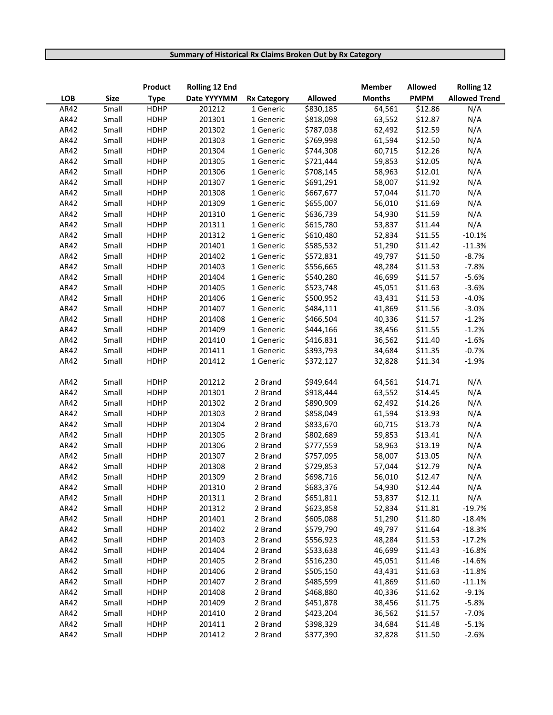## **Summary of Historical Rx Claims Broken Out by Rx Category**

|      |             | Product     | <b>Rolling 12 End</b> |                    |           | <b>Member</b> | Allowed     | <b>Rolling 12</b>    |
|------|-------------|-------------|-----------------------|--------------------|-----------|---------------|-------------|----------------------|
| LOB  | <b>Size</b> | <b>Type</b> | Date YYYYMM           | <b>Rx Category</b> | Allowed   | <b>Months</b> | <b>PMPM</b> | <b>Allowed Trend</b> |
| AR42 | Small       | <b>HDHP</b> | 201212                | 1 Generic          | \$830,185 | 64,561        | \$12.86     | N/A                  |
| AR42 | Small       | <b>HDHP</b> | 201301                | 1 Generic          | \$818,098 | 63,552        | \$12.87     | N/A                  |
| AR42 | Small       | <b>HDHP</b> | 201302                | 1 Generic          | \$787,038 | 62,492        | \$12.59     | N/A                  |
| AR42 | Small       | <b>HDHP</b> | 201303                | 1 Generic          | \$769,998 | 61,594        | \$12.50     | N/A                  |
| AR42 | Small       | <b>HDHP</b> | 201304                | 1 Generic          | \$744,308 | 60,715        | \$12.26     | N/A                  |
| AR42 | Small       | <b>HDHP</b> | 201305                | 1 Generic          | \$721,444 | 59,853        | \$12.05     | N/A                  |
| AR42 | Small       | <b>HDHP</b> | 201306                | 1 Generic          | \$708,145 | 58,963        | \$12.01     | N/A                  |
| AR42 | Small       | <b>HDHP</b> | 201307                | 1 Generic          | \$691,291 | 58,007        | \$11.92     | N/A                  |
| AR42 | Small       | <b>HDHP</b> | 201308                | 1 Generic          | \$667,677 | 57,044        | \$11.70     | N/A                  |
| AR42 | Small       | <b>HDHP</b> | 201309                | 1 Generic          | \$655,007 | 56,010        | \$11.69     | N/A                  |
| AR42 | Small       | <b>HDHP</b> | 201310                | 1 Generic          | \$636,739 | 54,930        | \$11.59     | N/A                  |
| AR42 | Small       | <b>HDHP</b> | 201311                | 1 Generic          | \$615,780 | 53,837        | \$11.44     | N/A                  |
| AR42 | Small       | <b>HDHP</b> | 201312                | 1 Generic          | \$610,480 | 52,834        | \$11.55     | $-10.1%$             |
| AR42 | Small       | <b>HDHP</b> | 201401                | 1 Generic          | \$585,532 | 51,290        | \$11.42     | $-11.3%$             |
| AR42 | Small       | <b>HDHP</b> | 201402                | 1 Generic          | \$572,831 | 49,797        | \$11.50     | $-8.7%$              |
| AR42 | Small       | <b>HDHP</b> | 201403                | 1 Generic          | \$556,665 | 48,284        | \$11.53     | $-7.8%$              |
| AR42 | Small       | <b>HDHP</b> | 201404                | 1 Generic          | \$540,280 | 46,699        | \$11.57     | $-5.6%$              |
| AR42 | Small       | <b>HDHP</b> | 201405                | 1 Generic          | \$523,748 | 45,051        | \$11.63     | $-3.6%$              |
| AR42 | Small       | <b>HDHP</b> | 201406                | 1 Generic          | \$500,952 | 43,431        | \$11.53     | $-4.0%$              |
| AR42 | Small       | <b>HDHP</b> | 201407                | 1 Generic          | \$484,111 | 41,869        | \$11.56     | $-3.0%$              |
| AR42 | Small       | <b>HDHP</b> | 201408                | 1 Generic          | \$466,504 | 40,336        | \$11.57     | $-1.2%$              |
| AR42 | Small       | <b>HDHP</b> | 201409                | 1 Generic          | \$444,166 | 38,456        | \$11.55     | $-1.2%$              |
| AR42 | Small       | <b>HDHP</b> | 201410                | 1 Generic          | \$416,831 | 36,562        | \$11.40     | $-1.6%$              |
| AR42 | Small       | <b>HDHP</b> | 201411                | 1 Generic          | \$393,793 | 34,684        | \$11.35     | $-0.7%$              |
| AR42 | Small       | <b>HDHP</b> | 201412                | 1 Generic          | \$372,127 | 32,828        | \$11.34     | $-1.9%$              |
|      |             |             |                       |                    |           |               |             |                      |
| AR42 | Small       | <b>HDHP</b> | 201212                | 2 Brand            | \$949,644 | 64,561        | \$14.71     | N/A                  |
| AR42 | Small       | <b>HDHP</b> | 201301                | 2 Brand            | \$918,444 | 63,552        | \$14.45     | N/A                  |
| AR42 | Small       | <b>HDHP</b> | 201302                | 2 Brand            | \$890,909 | 62,492        | \$14.26     | N/A                  |
| AR42 | Small       | <b>HDHP</b> | 201303                | 2 Brand            | \$858,049 | 61,594        | \$13.93     | N/A                  |
| AR42 | Small       | <b>HDHP</b> | 201304                | 2 Brand            | \$833,670 | 60,715        | \$13.73     | N/A                  |
| AR42 | Small       | <b>HDHP</b> | 201305                | 2 Brand            | \$802,689 | 59,853        | \$13.41     | N/A                  |
| AR42 | Small       | <b>HDHP</b> | 201306                | 2 Brand            | \$777,559 | 58,963        | \$13.19     | N/A                  |
| AR42 | Small       | <b>HDHP</b> | 201307                | 2 Brand            | \$757,095 | 58,007        | \$13.05     | N/A                  |
| AR42 | Small       | <b>HDHP</b> | 201308                | 2 Brand            | \$729,853 | 57,044        | \$12.79     | N/A                  |
| AR42 | Small       | <b>HDHP</b> | 201309                | 2 Brand            | \$698,716 | 56,010        | \$12.47     | N/A                  |
| AR42 | Small       | <b>HDHP</b> | 201310                | 2 Brand            | \$683,376 | 54,930        | \$12.44     | N/A                  |
| AR42 | Small       | <b>HDHP</b> | 201311                | 2 Brand            | \$651,811 | 53,837        | \$12.11     | N/A                  |
| AR42 | Small       | <b>HDHP</b> | 201312                | 2 Brand            | \$623,858 | 52,834        | \$11.81     | $-19.7%$             |
| AR42 | Small       | <b>HDHP</b> | 201401                | 2 Brand            | \$605,088 | 51,290        | \$11.80     | $-18.4%$             |
| AR42 | Small       | <b>HDHP</b> | 201402                | 2 Brand            | \$579,790 | 49,797        | \$11.64     | $-18.3%$             |
| AR42 | Small       | <b>HDHP</b> | 201403                | 2 Brand            | \$556,923 | 48,284        | \$11.53     | $-17.2%$             |
| AR42 | Small       | <b>HDHP</b> | 201404                | 2 Brand            | \$533,638 | 46,699        | \$11.43     | $-16.8%$             |
| AR42 | Small       | <b>HDHP</b> | 201405                | 2 Brand            | \$516,230 | 45,051        | \$11.46     | $-14.6%$             |
| AR42 | Small       | <b>HDHP</b> | 201406                | 2 Brand            | \$505,150 | 43,431        | \$11.63     | $-11.8%$             |
| AR42 | Small       | <b>HDHP</b> | 201407                | 2 Brand            | \$485,599 | 41,869        | \$11.60     | $-11.1%$             |
| AR42 | Small       | <b>HDHP</b> | 201408                | 2 Brand            | \$468,880 | 40,336        | \$11.62     | $-9.1%$              |
| AR42 | Small       | <b>HDHP</b> | 201409                | 2 Brand            | \$451,878 | 38,456        | \$11.75     | $-5.8%$              |
| AR42 | Small       | HDHP        | 201410                | 2 Brand            | \$423,204 | 36,562        | \$11.57     | $-7.0%$              |
| AR42 | Small       | <b>HDHP</b> | 201411                | 2 Brand            | \$398,329 | 34,684        | \$11.48     | $-5.1%$              |
| AR42 | Small       | HDHP        | 201412                | 2 Brand            | \$377,390 | 32,828        | \$11.50     | $-2.6%$              |
|      |             |             |                       |                    |           |               |             |                      |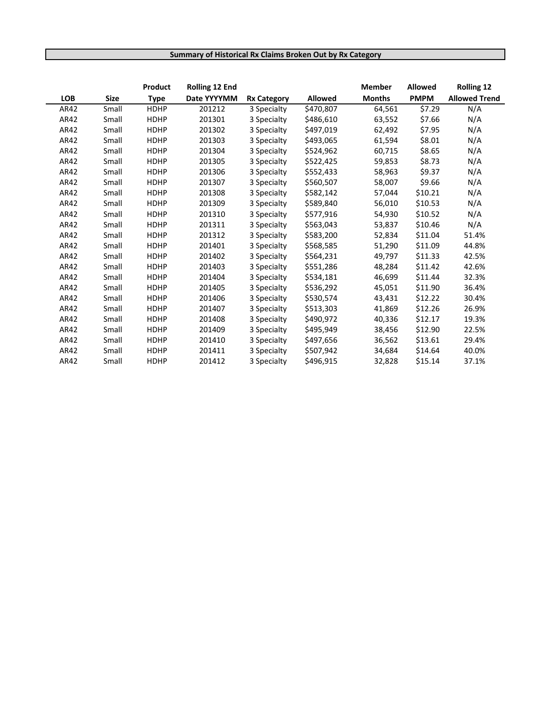## **Summary of Historical Rx Claims Broken Out by Rx Category**

|            |             | Product     | <b>Rolling 12 End</b> |                    |                | <b>Member</b> | <b>Allowed</b> | <b>Rolling 12</b>    |
|------------|-------------|-------------|-----------------------|--------------------|----------------|---------------|----------------|----------------------|
| <b>LOB</b> | <b>Size</b> | <b>Type</b> | Date YYYYMM           | <b>Rx Category</b> | <b>Allowed</b> | <b>Months</b> | <b>PMPM</b>    | <b>Allowed Trend</b> |
| AR42       | Small       | <b>HDHP</b> | 201212                | 3 Specialty        | \$470,807      | 64,561        | \$7.29         | N/A                  |
| AR42       | Small       | <b>HDHP</b> | 201301                | 3 Specialty        | \$486,610      | 63,552        | \$7.66         | N/A                  |
| AR42       | Small       | <b>HDHP</b> | 201302                | 3 Specialty        | \$497,019      | 62,492        | \$7.95         | N/A                  |
| AR42       | Small       | <b>HDHP</b> | 201303                | 3 Specialty        | \$493,065      | 61,594        | \$8.01         | N/A                  |
| AR42       | Small       | <b>HDHP</b> | 201304                | 3 Specialty        | \$524,962      | 60,715        | \$8.65         | N/A                  |
| AR42       | Small       | <b>HDHP</b> | 201305                | 3 Specialty        | \$522,425      | 59,853        | \$8.73         | N/A                  |
| AR42       | Small       | <b>HDHP</b> | 201306                | 3 Specialty        | \$552,433      | 58,963        | \$9.37         | N/A                  |
| AR42       | Small       | <b>HDHP</b> | 201307                | 3 Specialty        | \$560,507      | 58,007        | \$9.66         | N/A                  |
| AR42       | Small       | <b>HDHP</b> | 201308                | 3 Specialty        | \$582,142      | 57,044        | \$10.21        | N/A                  |
| AR42       | Small       | <b>HDHP</b> | 201309                | 3 Specialty        | \$589,840      | 56,010        | \$10.53        | N/A                  |
| AR42       | Small       | <b>HDHP</b> | 201310                | 3 Specialty        | \$577,916      | 54,930        | \$10.52        | N/A                  |
| AR42       | Small       | <b>HDHP</b> | 201311                | 3 Specialty        | \$563,043      | 53,837        | \$10.46        | N/A                  |
| AR42       | Small       | <b>HDHP</b> | 201312                | 3 Specialty        | \$583,200      | 52,834        | \$11.04        | 51.4%                |
| AR42       | Small       | <b>HDHP</b> | 201401                | 3 Specialty        | \$568,585      | 51,290        | \$11.09        | 44.8%                |
| AR42       | Small       | <b>HDHP</b> | 201402                | 3 Specialty        | \$564,231      | 49,797        | \$11.33        | 42.5%                |
| AR42       | Small       | <b>HDHP</b> | 201403                | 3 Specialty        | \$551,286      | 48,284        | \$11.42        | 42.6%                |
| AR42       | Small       | <b>HDHP</b> | 201404                | 3 Specialty        | \$534,181      | 46,699        | \$11.44        | 32.3%                |
| AR42       | Small       | <b>HDHP</b> | 201405                | 3 Specialty        | \$536,292      | 45,051        | \$11.90        | 36.4%                |
| AR42       | Small       | <b>HDHP</b> | 201406                | 3 Specialty        | \$530,574      | 43,431        | \$12.22        | 30.4%                |
| AR42       | Small       | <b>HDHP</b> | 201407                | 3 Specialty        | \$513,303      | 41,869        | \$12.26        | 26.9%                |
| AR42       | Small       | <b>HDHP</b> | 201408                | 3 Specialty        | \$490,972      | 40,336        | \$12.17        | 19.3%                |
| AR42       | Small       | <b>HDHP</b> | 201409                | 3 Specialty        | \$495,949      | 38,456        | \$12.90        | 22.5%                |
| AR42       | Small       | <b>HDHP</b> | 201410                | 3 Specialty        | \$497,656      | 36,562        | \$13.61        | 29.4%                |
| AR42       | Small       | <b>HDHP</b> | 201411                | 3 Specialty        | \$507,942      | 34,684        | \$14.64        | 40.0%                |
| AR42       | Small       | <b>HDHP</b> | 201412                | 3 Specialty        | \$496,915      | 32,828        | \$15.14        | 37.1%                |